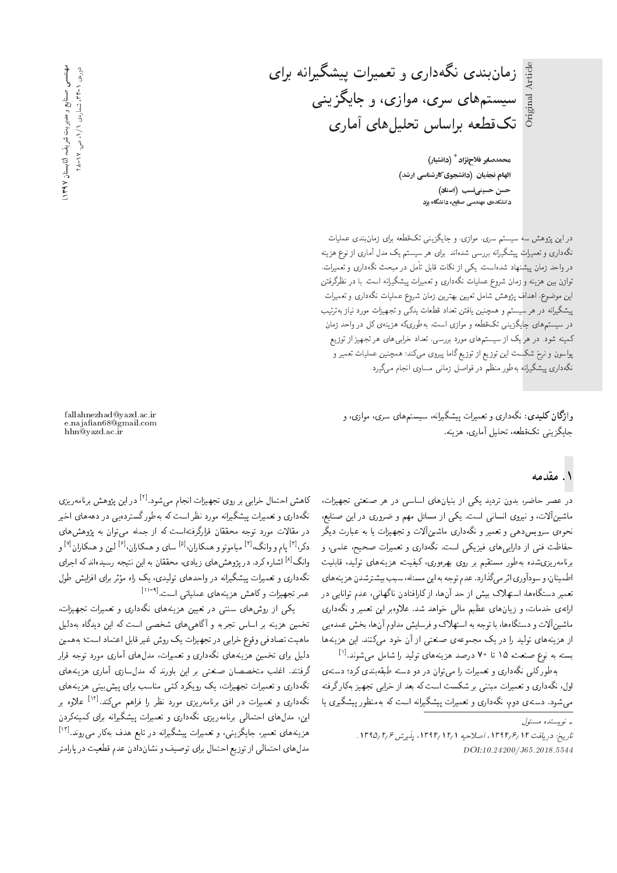زمان بندی نگهداری و تعمیرات پیشگیرانه برای Article Original Article سیستمهای سری، موازی، و جایگزینی Original تكقطعه براساس تحليلهاى آمارى

> **محمدصابر فلاح نژاد<sup>\*</sup> (دانشیار)** الهام نجفیان (دانشجوی کارشناسی ارشد) حسن حسینی نسب (استاد) ۔<br>دانشکدہی مهندسی صنایع، دانشگاہ یزد

دراین پژوهش سه سیستم سری، موازی، و جایگزینی تکقطعه برای زمان بندی عملیات نگهداری و تعمیرات پیشگیرانه بررسی شدهاند. برای هر سیستم یک مدل آماری از نوع هزینه در واحد زمان پیشنهاد شدهاست. یکی از نکات قابل تأمل در مبحث نگهداری و تعمیرات، توازن ببین هزینه و زمان شروع عملیات نگهداری و تعمیرات پیشگیرانه است. با در نظرگرفتن این موضوع، اهداف پژوهش شامل تعیین بهترین زمان شروع عملیات نگهداری و تعمیرات پیشگیرانه در هر سیستم و همچنین یافتن تعداد قطعات یدکی و تجهیزات مورد نیاز بهترتیب در سیستمهای جایگزینی تک قطعه و موازی است، بهطوریکه هزینهی کل در واحد زمان کمینه شود. در هر یک از سیستمهای مورد بررسی، تعداد خرابی های هر تجهیز از توزیع پواسون و نرخ شکست این توزیع از توزیع گاما پیروی میکند؛ همچنین عملیات تعمیر و نگهداری پیشگیرانه بهطور منظم در فواصل زمانی مساوی انجام میگیرد.

وا**ژگان کلیدی**: نگهداری و تعمیرات پیشگیرانه، سیستمهای سری، موازی، و جايگزيني تکقطعه، تحليل آماري، هزينه.

fallahnezhad@yazd.ac.ir e.najaan68@gmail.com hhn@yazd.ac.ir

# ۱. مقدمه

در عصر حاضر، بدون تردید یکی از بنیانهای اساسی در هر صنعتی تجهیزات،<br>ماشین[لات، و نیروی انسانی است. یکی از مسائل مهم و ضروری در این صنایع، ماسین|فات، و نیروی انسانی است. یکی از مسائل مهم و صروری در این صمایع،<br>. محودی سرویس دهی و تعمیر و مدداری ماسین افت و تجهیزات یا به عبارت دیگر<br>منابله منصوبات استان است می کند که است حفاظت فنبي از دارايي هاي فيزيكي است. نگهداري و تعميرات صحيح، علمي، و برنامه ریزی شده به طور مستقیم بر روی بهرهوری، کیفیت، هزینههای تولید، قابلیت |طمينان، و سودآوري| ثر ميكذارد. عدم توجه به اين مسئله، سبب بيشترشدن هزينه هاي تعمیر دستگاهها، استهلاک بیش از حد آنها، از کارافتادن ناگهانی، عدم توانایی در ارائهى خدمات، و زيان هاى عظيم مالى خواهد شد. علاوهبر اين تعمير و نگهدارى ماشینآلات و دستگاهها، با توجه به استهلاک و فرسایش مداوم آنها، بخش عمده یی از هزینههای تولید را در یک مجموعهی صنعتبی از آن خود میکنند. این هزینهها بسته به نوع صنعت، ۷۵ تا ۷۰ درصد هزینههای تولید را شامل میشوند.<sup>[۱]</sup><br>استان است که این موسیقی است

بهطورکلی نگهداری و تعمیرات را می توان در دو دسته طبقهبندی کرد؛ دستهی<br>اول، نگهداری و تعمیرات مبتنبی بر شکست است که بعد از خرابی تجهیز بهکار گرفته xDiQo Q=mx@ R}yHD |@=QN R= Oa@ xm CU= CUmW Q@ |vD@t C=Q}taD w |Q=Oxov 'pw= =} |Q}oW}B Qw\_vtx@ xm CU= xv=Q}oW}B C=Q}taD w |Q=Oxov 'swO |xDUO "OwW|t

كاهش احتمال خرابى بر روى تجهيزات انجام مىشود.<sup>[۲]</sup> در اين پژوهش برنامەريزى<br>تحمیل مىسماسىيە محمان نگهداری و تعمیرات پیشگیرانه مورد نظر است که بهطورگستردهیی در دهههای اخیر<br>در مقالات مورد توجه محققان قرارگرفتهاست که از جمله می;توان به پژوهش۵های در مقالات مورد نوجه محققان قراردرقته است له از جمله می نوان به پژوهس های<br>حمل اتا سبک اتا سبب حسن الفاض دکر،<sup>[۲]</sup> پام و وانگ،<sup>[۲]</sup> میاموتو و همکاران،<sup>[۵]</sup> سای و همکاران،<sup>[۶]</sup> لین و همکاران<sup>[۷]</sup> و<br>ایگر اهلین بر بر وانگ<sup>[۸]</sup> اشاره کرد. در پژوهش های زیادی، محققان به این نتیجه رسیدهاند که اجرای بچهداری و بعمیرات پیسچیزانه در واحدهای بولیدی، یک راه موثر برای افزایش طول<br>مستقد بایت یکاهشت میسیدامی مساح ساح العمل<sup>614</sup>ا عمر تجهیزات وکاهش هزینههای عملیاتی است.<sup>[۱۱-۱</sup>۰]<br>جمعه است میسا

یکی از روشهای سنتی در تعیین هزینههای نگهداری و تعمیرات تجهیزات، تخمین هزینه بر اساس تجربه و آگاهی های شخصی است که این دیدگاه بهدلیل ماهيت تصادفي وقوع خرابي در تجهيزات يک روش غير قابل اعتماد است؛ به همين دلیل برای تخمین هزینههای نگهداری و تعمیرات، مدلهای آماری مورد توجه قرار گرفتند. اغلب متخصصان صنعتی بر این باورند که مدلسازی آماری هزینههای<br>نگهداری و تعمیرات تجهیزات، یک رویکرد کتمی مناسب برای بیش بینی هزینههای نده داری و تعمیرات نجهیزات، یک رویدرد کمی مناسب برای پیس بینی هزینه های<br>نگردا میستمدان می اشتمال میستمدان استفاده نگهداری و تعمیرات در افق برنامهریزی مورد نظر را فراهم میکند.<sup>[۱۲]</sup> علاوه بر<br>ا این، مدل۱های احتمالی برنامهریزی ندمداری و تعمیرات پیسندیوانه برای تسییهدردن<br>هزینههای تعمیر، جایگزینی، و تعمیرات پیشگیرانه در تابع هدف بهکار میروند.<sup>[۱۲]</sup><br>مذهبا مدل های احتمالی از توزیع احتمال برای توصیف و نشاندادن عدم قطعیت در پارامتر

<sup>»</sup> نویسنده مسئول

تاريخ: دريافت ١٣٩٤/ ١٣٩٤، اصلاحيه ١٦/ ١٣٩٤، يذيرش ١٣٩٥/٢/٤. DOI:10.24200/J65.2018.5544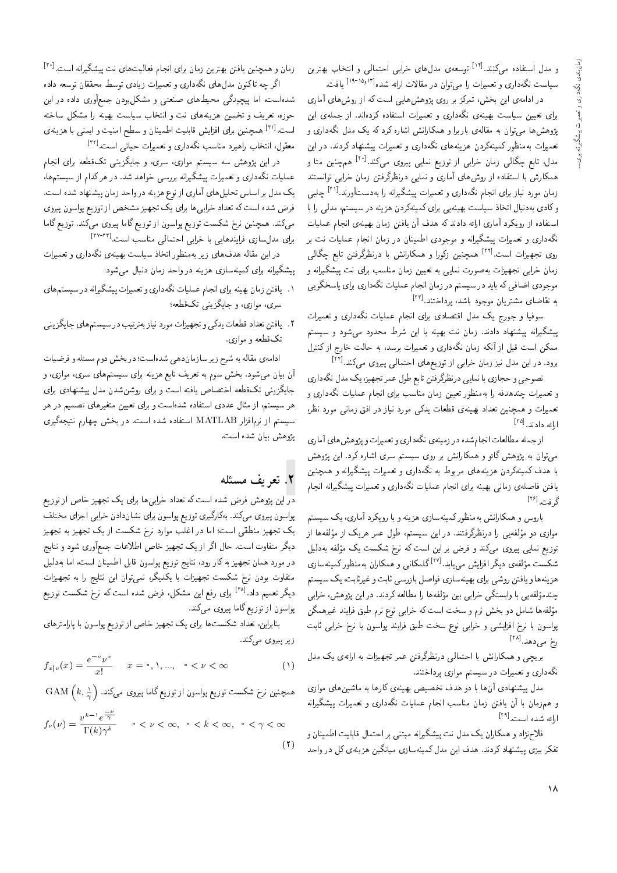و مدل استفاده میکنند.<sup>[۱۲]</sup> توسعهی مدل۵ای خرابی احتمالی و انتخاب بهترین<br>ساحت تکراحت میدان استان تقلید استفاده این مدیاتران (۱۹۰۱-۱۱) سیاست نگهداری و تعمیرات را می توان در مقالات ارائه شده<sup>[۱۹</sup>۰<sup>۱۵٫۱۲</sup>] یافت.<br>اما

در ادامهی این بخش، تمرکز بر روی پژوهش هایی است که از روش های آماری برای تعیین سیاست بهینهی نگهداری و تعمیرات استفاده کردهاند. از جملهی این پژوهش ها می توان به مقالهی باربرا و همکارانش اشاره کرد که یک مدل نگهداری و تعمیرات بهمنظور کمینهکردن هزینههای نگهداری و تعمیرات پیشنهاد کردند. در این مدل، نابع چگالی زمان خرابی از توزیع نمایی پیروی میکند.استا همچنین متا و<br>مکارد با استفاد استفاده آباد همکارش با استفاده از روشهای آماری و نمایی درنظرگرفتن زمان خرابی توانستند زمان مورد نیاز برای انجام نگهداری و تعمیرات پیشگیرانه را بهدستآورند.<sup>[۱۰]</sup> چلبی<br>کار ایران ایران ایران وكادى بهدنبال اتخاذ سياست بهينه يى براى كمينهكردن هزينه در سيستم، مدلمى را با استفاده از رویکرد آماری ارائه دادند که هدف آن یافتن زمان بهینهی انجام عملیات نگهداری و تعمیرات پیشگیرانه و موجودی اطمینان در زمان انجام عملیات نت بر روی تجهیزات است.<sup>[۲۲]</sup> همچنین زکورا و همکارانش با درنظرگرفتن تابع چگال<sub>ی</sub><br>پاسپیدا زمان خرابی تجهیزات به صورت تمایی به تعیین زمان مناسب برای تب پیستگیرانه و<br>این اینکه اینکه از کوه این استکشار استکشار استکشار استکشار موجودی اصافی که باید در سیستم در زمان انجام عملیات تکهداری برای پاسخگویی<br>مخالفات است. به تقاضای مشتریان موجود باشد، برداختند.<sup>[۲۳]</sup> "OvDN=OQB 'OW=@ OwHwt u=} QDWt |=[=kD x@

سوفيا و جورج يف مدل اقتصادي براي انجام عمليات بمدراي و تعميرات<br>الله عبدالمساوي المنتجب و المستقبل پیشگیرانه پیشنهاد دادند. زمان نت بهینه با این شرط محدود می شود و سیستم ممکن است قبل از آنکه زمان نگهداری و تعمیرات برسد، به حالت خارج از کنترل برود. در این مدل نیز زمان خرابی از توزیعهای احتمالی پیروی میکند.[<sup>۲۴]</sup> برود. در این مدل بیز زمان حرابی از نوزیعهای احتمالی پیروی می(سد.<br>محمد محمد استکشار ایران منابع محمد استفاده

تصوحی و حجازی با تمایی درنظردرفتن تابع طول عمر تجهیز، یک مدل تکهداری<br>- است. مسئل است ا و تعمیرات چندهدفه را بهمنظور تعیین زمان مناسب برای انجام عملیات نگهداری و تعمیرات و همچنین تعداد بهینهی قطعات یدکی مورد نیاز در افق زمانی مورد نظر. ارائه دادند.<sup>[16]</sup><br>ا

از جمله مطالعات انجام شده در زمینهی نگهداری و تعمیرات و پژوهش های آماری می توان به پژوهش گائو و همکارانش بر روی سیستم سری اشاره کرد. این پژوهش با هدف کمینهکردن هزینههای مربوط به نگهداری و تعمیرات پیشگیرانه و همچنین یافتن فاصلهی زمانی بهینه برای انجام عملیات نگهداری و تعمیرات پیشگیرانه انجام گرفت.<sup>[1۶]</sup><br>ا

باروس و همکارانش بهمنظورکمینهسازی هزینه و با رویکرد آماری، یک سیستم موازی دو مولقهیی را درنطردرفسد. در این سیستم، طول عمر هریف از مولقهها از<br>-- - قوزیع نمایی پیروی می تند و فرض بر این است ته نرج سمست یک موتفه به تایل<br>مرکزین دانشگاه از کانلود سال ۱۲۱۱ گاه کان - شکست مؤلفهی دیگر افزایش می بابد آ<sup>۲۷]</sup> گلمکانی و همکاران بهمنظور کمینهسازی<br>مسلمات اینته ر<br>ا هزینه ها و یافتن روسی برای بهینه سازی قواصل بازرسی تابت و عیرتابت، یک سیستم<br>میسیمهای است که است که سیاست و استان استان که بین میسا چىدمونقەيى با وابسىدى حرابى بين مونقەھا را مصانعە دردىد. در اين پژوھس، حرابى<br>مانسلىمان الىلمىنىڭ مىسىمىسىدا و سه یی به رابسته می شودی بین مو<br>حلیه ایران خود که کنید و برا مولقه ها سامل دو بحس ترم و سحب است له حرابی توج ترم طبق قرایند عیرهمدن<br>ساحت استفادات استفاده י<br>י پواسوں با نرح افزایسی و حرابی نوع سحب طبق قرایند پواسوں با نرح حرابی نابت<br>. رخ میدهد.<sup>[۱۸]</sup>

بریچی و همکارانش با احتمالی درنظرگرفتن عمر تجهیزات به ارائهی یک مدل نگهداری و تعمیرات در سیستم موازی پرداختند.<br>مدل پیشنهادی آن& با دو هدف تخصیص بهینهی کارها به ماشین&ای موازی

مدل پیستهادی آن ها با دو هدف تحصیص بهیتهی تارها به ماسین های موازی<br>ماسیان آن استفاده با استفاده استفاده و تصویر میشود. و هم زمان با آن یافتن زمان مناسب انجام عملیات ندهداری و تعمیرات پیستگیرانه<br>از سویست افزا ارائه شده است.<sup>[۲۹]</sup><br>د در درا

فلاح نژاد و همکاران یک مدل نت پیشگیرانه مبتنی بر احتمال قابلیت اطمینان و تفکر بیزی پیشنهاد کردند. هدف این مدل کمینهسازی میانگین هزینهی کل در واحد

زمان و همچنین یافتن بهترین زمان برای انجام فعالیتهای نت پیشگیرانه است.<sup>[۳۰]</sup><br>اگر مسابق است برای ایران استگران و میتوانید و است.

اگر چه تاکنون مدلهای نگهداری و تعمیرات زیادی توسط محققان توسعه داده شدهاست، اما پیچیدگی محیطهای صنعتی و مشکلبودن جمعأوری داده در این حوزه، تعریف و تخمین هزینههای نت و انتخاب سیاست بهینه را مشکل ساخته ۲۱] همچنین برای افزایش قابلیت اطمینان و سطح امنیت و ایمنی با هزینه ی<br>بازمان استان بازیگر است. \*\*\* همچنین برای افزایس فابلیت اطمینان و سطح اسیب و آیا<br>معقول انتخاب راهبرد مناسب نگهداری و تعمیرات حیاته ر است.[<sup>۲۲]</sup>

در این بژوهش سه سیستم موازی، سری، و جایگزینی تکقطعه برای انجام در این پروهس سه سیستم موازی، سری، و جایدریمی تک فضعه برای انجام<br>این گرا ا عملیات نده[اری و تعمیرات پیستیرانه بررسی خواهد سد. در هر ندام از سیستمها<br>محمد استان استان استان استان استان است. یک مدل بر اساس تحلیل های آماری از نوع هزینه در واحد زمان پیشنهاد شده است. فرض شده است که تعداد خرابی ها برای یک تجهیز مشخص از توزیع پواسون پیروی<br>میکند. همچنین نرخ شکست توزیع پواسون از توزیع گاما پیروی میکند. توزیع گاما می دند. همچنین نرج سکست نوزیع پواسوں از نوزیع داما پیروی می دند. نوزیع داما<br>برای مدل سازی فرایندهایی با خرابی احتمالی مناسب است.<sup>[۲۷-۳۲]</sup><br>مناسب است تاریخ خوابی است این است است است که است.

در این مقاله هدفهای زیر بهمنظور اتخاذ سیاست بهینهی نگهداری و تعمیرات پیشگیرانه برای کمینهسازی هزینه در واحد زمان دنبال میشود:

- ۱. یافتن زمان بهینه برای انجام عملیات نگهداری و تعمیرات پیشگیرانه در سیستم های سری، موازی، و جایگزینی تکقطعه؛
- ۲. یافتن تعداد قطعات یدکی و تجهیزات مورد نیاز بهترتیب در سیستمهای جایگزینی تکقطعه و موازي.

[دامهى مقاله به شرح زير سازمان دهى شده است؛ در بخش دوم مسئله و فرضيات آن بیان میشود. بخش سوم به تعریف تابع هزینه برای سیستمهای سری، موازی، و جايگزينمي تکقطعه اختصاص يافته است و براى روشنشدن مدل پيشنهادى براى هر سیستم، از مثال عددی استفاده شدهاست و برای تعیین متغیرهای تصمیم در هر سیستم از نرم|فزار MATLAB استفاده شده است. در بخش چهارم نتیجهگیری يژوهش بيان شده است.

## X. تعريف مسئله

در این پژوهش فرض شده است که تعداد خرابیها برای یک تجهیز خاص از توزیع پواسون پیروی میکند. بهکارگیری توزیع پواسون برای نشاندادن خرابی اجزای مختلف یک تجهیز منطقی است؛ اما در اغلب موارد نرخ شکست از یک تجهیز به تجهیز دیگر متفاوت است. حال اگر از یک تجهیز خاص اطلاعات جمعأوری شود و نتایج در مورد همان تجهيز به كار رود، نتايج توزيع پواسون قابل اطمينان است، اما بهدليل متفاوت بودن نرخ شکست تجهیزات با یکدیگر، نمی توان این نتایج را به تجهیزات دیگر تعمیم داد.<sup>[۲۸</sup>] برای رفع این مشکل، فرض شده است که نرخ شکست توزیع<br>پایم ایرانی پواسون از توزیع گاما پیروی میکند.

بنابراین، تعداد شکستها برای یک تجهیز خاص از توزیع پواسون با پارامترهای ز یر پیروی میکند.

$$
f_{x|\nu}(x) = \frac{e^{-\nu}\nu^x}{x!} \qquad x = \circ, \lambda, \dots, \quad \circ < \nu < \infty \tag{1}
$$

 $\text{GAM}\left(k,\frac{1}{\gamma}\right)$ همچنین نرخ سکست نوزیع پواسوں از نوزیع کاما پیروی می۔ند.<br>ا

$$
f_{\nu}(\nu) = \frac{v^{k-1}e^{\frac{-\nu}{\gamma}}}{\Gamma(k)\gamma^k} \qquad \circ < \nu < \infty, \quad \circ < k < \infty, \quad \circ < \gamma < \infty
$$
 (1)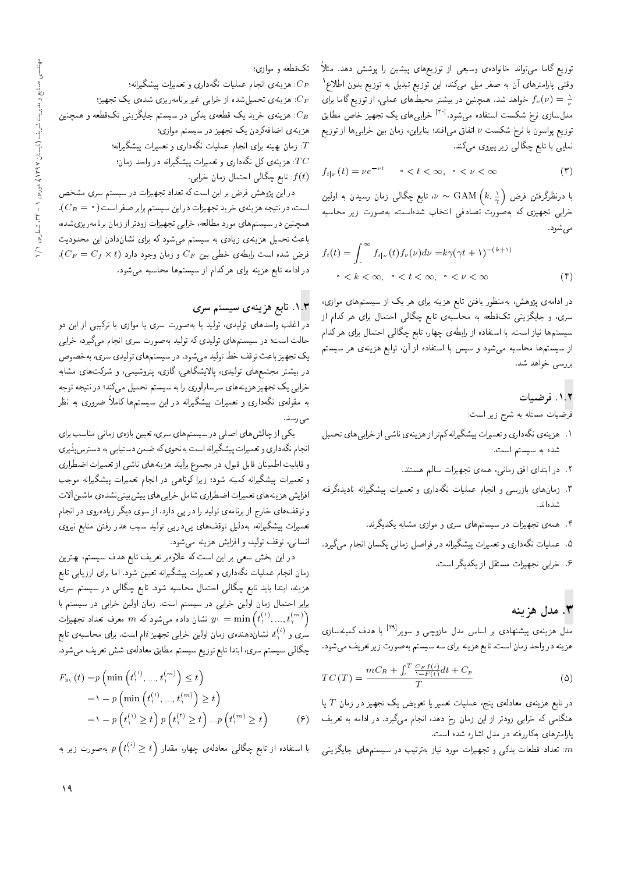توزیع گاما می;تواند خانوادهی وسیعی از توزیعهای پیشین را پوشش دهد. مثلاً وقتبی پارامترهای آن به صفر میل میکند، این توزیع تبدیل به توزیع بدون اطلاع ' خواهد شد. همچنین در بیشتر محیط های عملی، از توزیع گاما برای "<br>مقدار است در کرده استان میلم آقای ایران کرده و استان استان مدل سازی نرخ شکست استفاده می شود.<sup>[۳۰]</sup> خرابی های یک تجهیز خاص مطابق<br>-توزيع يواسون با نرخ شكست  $\nu$  اتفاق مى افتد؛ بنابراين، زمان بين خرابى ها از توزيع نمایی با تابع چگالی زیر پیروی میکند.

$$
f_{t|\nu}(t) = \nu e^{-\nu t} \qquad \circ < t < \infty, \quad \circ < \nu < \infty \tag{7}
$$

u خابع چگالی زمان رسیدن به اولین، $\nu \sim \textrm{GAM} \left( k, \frac{\lambda}{\gamma} \right)$ با درىطردرقىن قرص<br>ما خرابی تجهیزی که بهصورت تصادفی انتخاب شدهاست، بهصورت زیر محاسبه مي شود.

$$
f_t(t) = \int_{s}^{\infty} f_{t|\nu}(t) f_{\nu}(\nu) d\nu = k\gamma (\gamma t + 1)^{-(k+1)}
$$
  

$$
\circ < k < \infty, \quad \circ < t < \infty, \quad \circ < \nu < \infty \tag{f}
$$

در ادامهى پژوهش، بهمنظور يافتن تابع هزينه براى هر يک از سيستم هاى موازى، سری، و جایگزینی تکقطعه به محاسبهی تابع چگالی احتمال برای هر کدام از سیستمها نیاز است. با استفاده از رابطهی چهار، تابع چگالمی احتمال برای هرکدام از سیستمها محاسبه میشود و سپس با استفاده از آن، توابع هزینهی هر سیستم بررسی خواهد شد.

# .<br>١.٢ فوضيات

فرضیات مسئله به شرح زیر است:

- ۱. هزینهی نگهداری و تعمیرات پیشگیرانه کم تراز هزینهی ناشی از خرابی های تحمیل شده به سیستم است.
	- ۲. در ابتدای افق زمانی، همهی تجهیزات سالم هستند.
- .<br>۳. زمانهای بازرسی و انجام عملیات نگهداری و تعمیرات پیشگیرانه نادیدهگرفته شدهاند.
	- ۴. همهی تجهیزات در سیستمهای سری و موازی مشابه یکدیگرند.
- ۰. عملیات نگهداری و تعمیرات پیشگیرانه در فواصل زمان<sub>ی</sub> یکسان انجام میگیرد.
	- .<br>۶. خرابی تجهیزات مستقل از یکدیگر است.

# د مدل هزينه " $\mathbf r$

مدل هزینهی پیشنهادی بر اساس مدل مازوچی و سویر<sup>[۲۹]</sup> با هدف کمینهسازی<br>استان استان ا هزينه درواحد زمان است. تابع هزينه براي سه سيستم بهصورت زير تعريف مىشود.

$$
TC(T) = \frac{mC_B + \int_{\cdot}^{T} \frac{C_F f(t)}{\gamma - F(t)} dt + C_p}{T}
$$
 (0)

هنگامی که خرابی زودتر از این زمان رخ دهد، انجام میگیرد. در ادامه به تعریف (۶)<br>المتحدات کامینتیمی با اشامی باست در تابع هزینهی معادلهی پنج، عملیات تعمیر یا تعویض یک تجهیز در زمان  $T$  یا پارامترهای بهکاررفته در مدل اشاره شده است.

تعداد قطعات یدکی و تجهیزات مورد نیاز بهترتیب در سیستمهای جایگزینی : $m$ 

ما فطعه و موازی:<br>اص

ه هزینهی انجام عملیات نگهداری و تعمیرات پیشگیرانه؛ $C_{F}$ 

: هزینهی تحمیل $d$ شده از خرابی غیربرنامهریزی شدهی یک تجهیز؛ ن هزینهی خرید یک قطعهی یدکی در سیستم جایگزینی تکقطعه و همچنین .<br>هزینهی اضافهکردن یک تجهیز در سیستم موازی؛

هزیدی اصاددردن یک نجهیز در سیستم موازی:<br>س 7: زمان بهینه برای انجام عملیات نگهداری و تعمیرات پیشگیرانه؛<br>ص س : هزینهی کل نگهداری و تعمیرات پیشگیرانه در واحد زمان؛  $\overline{TC}$ : تابع چگالی احتمال زمان خرابی  $f(t)$ 

در این پژوهش فرض بر این است که تعداد تجهیزات در سیستم سری مشخص است، در نتیجه هزینهی خرید تجهیزات در این سیستم برابر صفر است ( ° = CB). همچنین در سیستمهای مورد مطالعه، خرابی تجهیزات زودتر از زمان برنامهر یزیشده، باعث تحمیل هزینهی زیادی به سیستم میشود که برای نشاندادن این محدودیت  $\mathcal{C}_F = C_f \times t$ فرض شده است رابطهى خطى بين  $C_F$  و زمان وجود دارد در ادامه تابع هزینه برای هرکدام از سیستمها محاسبه میشود.

### ۱.۳. تابع هزینهی سیستم سری

در اغلب واحدهای تولیدی، تولید یا بهصورت سری یا موازی یا ترکیبی از این **د**و حالت است؛ در سیستمهای تولیدی که تولید بهصورت سری انجام میگیرد، خرابی یک تجهیز باعث توقف خط تولید میشود. در سیستمهای تولیدی سری، بهخصوص در بیشتر مجتمعهای تولیدی، پالایشگاهی، گازی، پتروشیمی، و شرکتهای مشابه خرابی یک تجهیز هزینههای سرسام[وری را به سیستم تحمیل میکند؛ در نتیجه توجه به مقولهى نگهدارى و تعميرات پيشگيرانه در اين سيستمها كاملاً ضرورى به نظر می رسد.<br>بر

یکی از چالس های اصلی در سیستم های سری، تغیین بازوی زمانی مناسب برای<br>مگر است مساحی مگر از است من انجام نگهداري و تعميرات پيشگيرانه است بهنحوي كه ضمن دستيابي به دسترس پذيري و قابليت اطمينان قابل قبول، در مجموع برأيند هزينههاى ناشى از تعميرات اضطرارى و تعمیرات پیشگیرانه کمینه شود؛ زیرا کوتاهی در انجام تعمیرات پیشگیرانه موجب افزایش هزینههای تعمیرات اضطراری شامل خرابی های پیش بینی نشدهی ماشین آلات و توقف های خارج از برنامهی تولید را در پی دارد. از سوی دیگر زیادهروی در انجام تعمیرات پیشگیرانه، بهدلیل توقفهای پیدر پی تولید سبب هدر رفتن منابع نیروی انسانی، توقف تولید، و افزایش هزینه می شود.

در این بخش سعی بر این است که علاوه بر تعریف تابع هدف سیستم، بهترین زمان انجام عمليات نگهدارى و تعميرات پيشگيرانه تعيين شود. اما براى ارزيابى تابع هزینه، ابتدا باید تابع چگالی احتمال محاسبه شود. تابع چگالی در سیستم سری برابر احتمال زمان اولین خرابی در سیستم است. زمان اولین خرابی در سیستم با تشان داده میشود که  $m$  معرف تعداد تجهیزات  $y_{\lambda}=\min\left(t_{\lambda}^{(1)},...,t_{\lambda}^{(m)}\right)$ <sup>1</sup> سری و  $t^{(i)}_1$ ، نشان۱هندهی زمان اولین خرابی تجهیز نمام است. برای محاسبه ی تابع<br>گانا چگالی سیستم سری، ابتدا تابع توزیع سیستم مطابق معادلهی شش تعریف میشود.

$$
F_{y_1}(t) = p \left( \min \left( t_1^{(1)}, \dots, t_1^{(m)} \right) \le t \right)
$$
  
=  $1 - p \left( \min \left( t_1^{(1)}, \dots, t_1^{(m)} \right) \ge t \right)$   
=  $1 - p \left( t_1^{(1)} \ge t \right) p \left( t_1^{(1)} \ge t \right) \dots p \left( t_1^{(m)} \ge t \right)$  (9)

بەصورت زیر بە  $p\left(t^{(i)}_{\setminus}\geq t\right)$ با استفاده از نابع چکالی معادلهی چهار، مقدار<br>.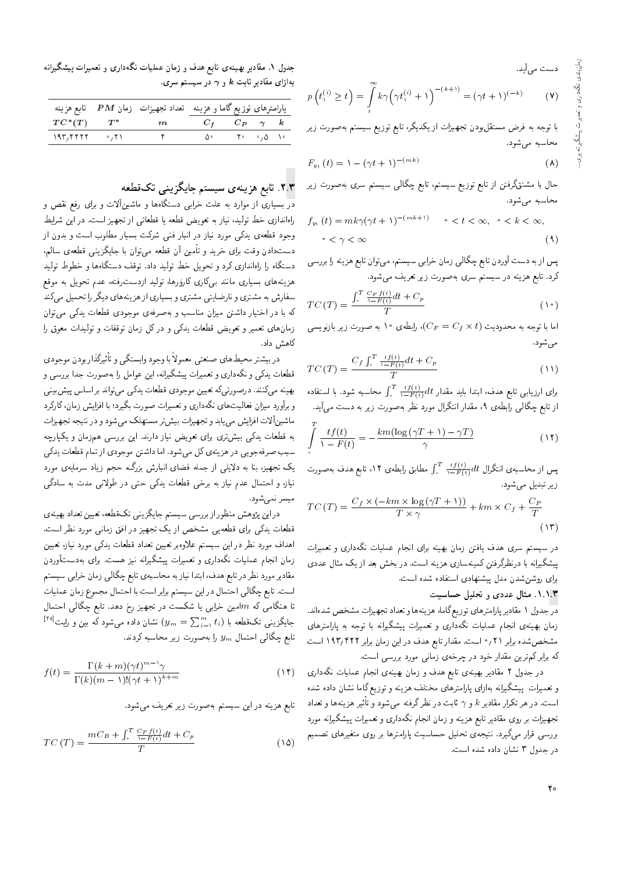دست می]ید.

$$
p\left(t_{1}^{(i)} \geq t\right) = \int\limits_{t}^{\infty} k\gamma \left(\gamma t_{1}^{(i)} + 1\right)^{-(k+1)} = (\gamma t + 1)^{(-k)} \tag{V}
$$

با توجه به فرض مستقل,ودن تجهیزات از یکدیگر، تابع توزیع سیستم به *ص*ورت زیر محاسبه می شود.

$$
F_{y_1}(t) = \lambda - (\gamma t + \lambda)^{-(mk)} \tag{A}
$$

حال با مشتقگرفتن از تابع توزیع سیستم، تابع چگالی سیستم سری بهصورت زیر محاسبه مى شود.

$$
f_{y_1}(t) = mk\gamma(\gamma t + 1)^{-(mk+1)} \qquad \circ < t < \infty, \quad \circ < k < \infty,
$$
\n
$$
\circ < \gamma < \infty \tag{4}
$$

پس از به دست آوردن تابع چگالی زمان خرابی سیستم، می توان تابع هزینه را بررسی کرد. تابع هزینه در سیستم سری بهصورت زیر تعریف می شود.

$$
TC(T) = \frac{\int_{*}^{T} \frac{C_F f(t)}{1 - F(t)} dt + C_p}{T}
$$
 (1°)

اما با توجه به محدودیت (C $F=C_f\times t$ )، رابطهی ۱۰ به صورت زیر بازنویسی $\cdot$ مې شود.

$$
TC(T) = \frac{C_f \int_{\cdot}^{T} \frac{tf(t)}{\lambda - F(t)} dt + C_p}{T}
$$
\n(1)

و محاسبه سود. با استفاده .<br>آ  $\int_{0}^{T} \frac{tf(t)}{\sqrt{-F(t)}} dt$  برای ارزیابی تابع هدف، ابتدا باید مقدار  $dt$ از تابع چکالی رابطهی ۱۰ مقدار آسکرال مورد نظر بهصورت زیر به دست می!ید.<br>.

$$
\int_{\gamma}^{T} \frac{tf(t)}{1 - F(t)} = -\frac{km(\log(\gamma T + 1) - \gamma T)}{\gamma}
$$
\n(17)

پس از محاسبه ی انتگرال  $\int_\tau^T \frac{tf(t)}{\lambda-F(t)} dt$  مطابق رابطه ی ۱۲، تابع هدف بهصورت<br>تعدا زیر تبدیل می شود.

$$
TC(T) = \frac{C_f \times (-km \times \log(\gamma T + 1))}{T \times \gamma} + km \times C_f + \frac{C_P}{T}
$$
\n(17)

در سیستم سری هدف یافتن زمان بهیته برای انجام عملیات بدهداری و تعمیرات<br>مستقل استفاده میکند که ساخت است. |OOa p=Ft l} R= Oa@ VN@ QO "CU= xv} Ry |R=Uxv}tmuDiQoQ\_vQO =@ xv=Q}oW}B برای روشنشدن مدل پیشنهادی استفاده شده است.

### ۱.۱.۳. مثال عددی و تحلیل حساسیت

<mark>در</mark> جدول ۱ مقادیر پارامترهای توزیع گاما، هزینهها و تعداد تجهیزات مشخص شدهاند. زمان بهینهی انجام عملیات نگهداری و تعمیرات پیشگیرانه با توجه به پارامترهای مشخص شده برابر ۲۱ / ° است. مقدار تابع هدف در این زمان برابر ۱۹۳٫۴۲۲ است كه برابر كم ترين مقدار خود در چرخهى زمانى مورد بررسى است.

در جدول ۲ مقادیر بهینهی تابع هدف و زمان بهینهی انجام عملیات نگهداری<br>و تعمیرات پیشگیرانه بهازای پارامترهای مختلف هزینه و توزیع گاما نشان داده شده و بعميرات پيسكيرانه به زاي پارامترهاي محتلف هزينه و توزيع ناما تسان داده سده<br>ا است. در هر تکرار مقادیر k و  $\gamma$  ثابت در نظرگرفته می شود و تاثیر هزینهها و تعداد $\gamma$ تجهیزات بر روی مقادیر تابع هزینه و زمان انجام نگهداری و تعمیرات پیشگیرانه مورد بررسی قرار میگیرد. نتیجهی تحلیل حساسیت پارامترها بر روی متغیرهای تصمیم در جدول ٣ نشان داده شده است.

جدول ۱. مقادیر بهینهی تابع هدف و زمان عملیات نگهداری و تعمیرات بیشگیرانه  $\omega$ بهازای مقادیر ثابت  $k$  و  $\gamma$  در سیستم سری

| $TC^*(T)$ $T^*$ $m$ $C_f$ $C_P$ $\gamma$ $k$<br>$\lambda$ ۹۳٫۴۲۲۲ $\cdot$ ,۲۱<br>۰۵۰ - ۲۰۰۰ - ۲۰۰۵<br>$\mathcal{C}$ |  | پارامترهای توزیع گاما و هزینه هنداد تجهیزات زمان $\boldsymbol{P}\boldsymbol{M}$ تابع هزینه $\boldsymbol{\epsilon}$ |  |  |
|---------------------------------------------------------------------------------------------------------------------|--|--------------------------------------------------------------------------------------------------------------------|--|--|
|                                                                                                                     |  |                                                                                                                    |  |  |
|                                                                                                                     |  |                                                                                                                    |  |  |

## x.۳. تابع هزینهی سیستم جایگزینی تکقطعه

<mark>در</mark> بسیاری از موارد به علت خراب<sub>ق</sub> دستگاهها و ماشینآلات و برای رفع نقص و راهاندازی خط تولید، نیاز به تعویض قطعه یا قطعاتی از تجهیز است. در این شرایط وجود قطعه ی پدکی مورد نیاز در انبار فنی شرکت بسیار مطلوب است و بدون از دستدادن وقت برای خرید و تأمین آن قطعه میتوان با جایگزینی قطعه، سالم، دستگاه را راهاندازی کرد و تحویل خط تولید داد. توقف دستگاهها و خطوط تولید `kwt x@ p}wLD sOa 'xDiQCUOR= O}rwD '=yQ+ هزینههای بسیاری مانند ب<sub>یک</sub>کاری کاروَرها، تولید ازدست رفته، عدم تحویل به موقع سفارس به مستری و تارضایتی مستری و بسیاری از هزینههای دیگر را تحمیل می نند<br>حساسی این است این ایران به با در احبار داستن میزان مناسب و بهصرفهی موجودی فضعات یدنی می وان<br>- استفاده و مستفید استفاده می کند و می باشد و میزانید و میدان زمان های تعمیر و تعویض قصعات یدنی و در دل زمان توقفات و تولیدات معوق را<br>۱۰ کاهش داد.

در بیشتر محیط های صنعتی معمولا با وجود وابستهی و تاتیرددار بودن موجودی<br>مصریح مسیح قطعات يدكي و نگهداري و تعميرات پيشگيرانه، اين عوامل را به صورت جدا بررسي و بهینه میکنند. درصورتیکه تعیین موجودی قطعات یدکی می تواند بر اساس پیش بینی و برآورد میزان فعالیت های نگهداری و تعمیرات صورت بگیرد؛ با افزایش زمان، کارکرد ماشین آلات افزایش می یابد و تجهیزات بیش تر مستهلک می شود و در نتیجه تجهیزات به قطعات یدکی بیش تری برای تعویض نیاز دارند. این بررسی همزمان و یکپارچه سبب صرفهجويي در هزينهي كل ميشود. اما داشتن موجودي از تمام قطعات يدكي یک تجهیز، بنا به دلایلی از جمله فضای انبارش بزرگ، حجم زیاد سرمایهی مورد نیاز، و احتمال عدم نیاز به برخی قطعات یدکی حتی در طولانی مدت به سادگی ميسر نمي شود.

در این پژوهش منظور از بررسی سیستم جایگزینی تک قطعه، تعیین تعداد بهینهی قطعات يدكي براى قطعه يي مشخص از يک تجهيز در افق زماني مورد نظر است. اهداف مورد نظر در این سیستم علاوهبر تعیین تعداد قطعات یدکی مورد نیاز، تعیین زمان انجام عملیات نگهداری و تعمیرات پیشگیرانه نیز هست. برای بهدستآوردن مقادیر مورد نظر در تابع هدف، ابتدا نیاز به محاسبهی تابع چگالی زمان خرابی سیستم است. تابع چگالی احتمال در این سیستم برابر است با احتمال مجموع زمان عملیات تا هنگامی که  $m$ امین خرابی یا شکست در تجهیز رخ دهد. تابع چگالی احتمال  $\left[ \begin{smallmatrix} [\tau \wedge ] & \tau \end{smallmatrix} \right]$ جایگزینی تک قطعه با  $\sum_{i=1}^m t_i$  (پس استان داده میشود که بین و رایت تابع چگالی احتمال  $y_m$  را بهصورت زیر محاسبه کردند.

$$
f(t) = \frac{\Gamma(k+m)(\gamma t)^{m-1}\gamma}{\Gamma(k)(m-1)!(\gamma t+1)^{k+m}}
$$
(1f)

تابع هزينه در اين سيستم بهصورت زير تعريف مى شود.

$$
TC(T) = \frac{mC_B + \int_{\cdot}^{T} \frac{C_F f(t)}{\cdot - F(t)} dt + C_p}{T}
$$
\n(10)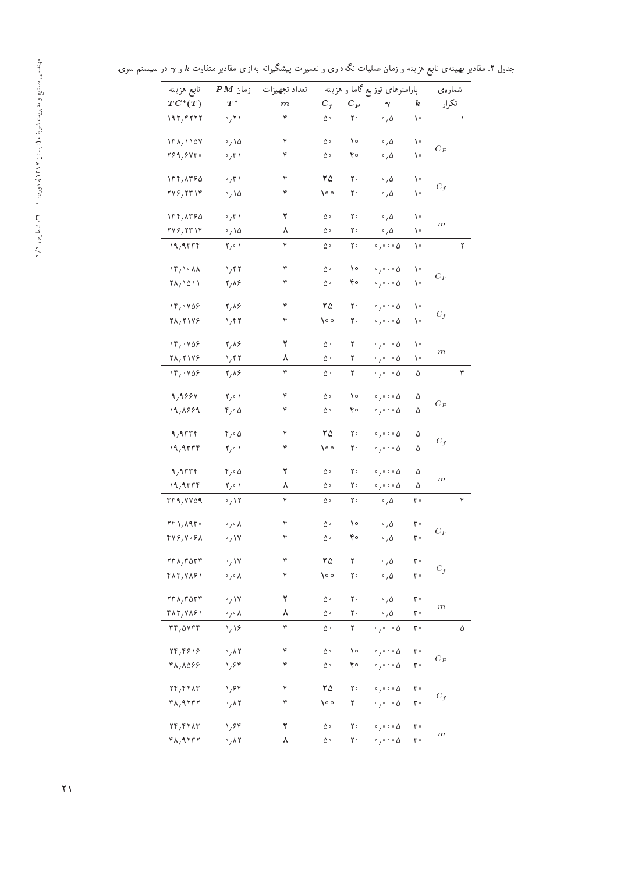شمارهی پارامترهای توزیع گاما و هزینه تعداد تجهیزات زمان $P M$  تابع هزینه  $T C^*(T)$   $T^*$  $TC^*(T)$  $\begin{array}{ccccccccc}\n^* & m & C_f & C_P & \gamma & k & \n\end{array}$ تکرار 193  $\frac{1}{2}$  193  $\frac{1}{2}$  193  $\frac{1}{2}$  193  $\frac{1}{2}$  193  $\frac{1}{2}$  193  $\frac{1}{2}$ 138 1174/1107 م) و 10 1157 1168 1169 برام 1168<br>محمد البرامجي السياسي السياسي السياسي المحمد المحمد السياسي السياسي المحمد المحمد السياسي السياسي السياسي السي  $C_P$ 269 م) 71 من مع العام 1994 م بن معرف المسلم بن المسلم المسلم المسلم المسلم المسلم المسلم المسلم المس<br>المسلم المسلم المسلم المسلم المسلم المسلم المسلم المسلم المسلم المسلم المسلم المسلم المسلم المسلم المسلم المسل<br>والمسلم ا 134 8365 0 31 4 25 20 0 5 10  $C_f$ 276 276 1774 1796 1797 1814 1797 1814 1814 1820 1831 1831 1840 1841 1842 1844 1845 1846 1847 1848 1848 1848 18<br>استعمال المستعمر المستعمر المستعمر المستعمر المستعمر المستعمر المستعمر المستعمر المستعمر المستعمر المستعمر الم 134 9/17 1114/11190 1/2 1/2 1/3 1/3 1/3 1/3 1/3 1/3 1/3 1/3 1/4 1/3 1/3 1/4 1/4 1/4 1/4 1/5 1/4 1/5 1/4 1/5 1/<br>مارس المسلمان المسلمان المسلمان المسلمان المسلمان المسلمان المسلمان المسلمان المسلمان المسلمان المسلمان المسل m  $\frac{2766777776}{9}$   $\frac{6}{10}$   $\frac{6}{10}$   $\frac{6}{10}$   $\frac{6}{10}$   $\frac{10}{10}$   $\frac{10}{10}$   $\frac{10}{10}$   $\frac{10}{10}$   $\frac{10}{10}$   $\frac{10}{10}$   $\frac{10}{10}$   $\frac{10}{10}$   $\frac{10}{10}$   $\frac{10}{10}$   $\frac{10}{10}$   $\frac{10}{10}$   $\frac{10}{10}$   $\$ 19 9334 2 01 4 50 20 0 0005 10 2 14,1°00 1,141 − 1,141 × 1,142 1,148 1,148 1,148 1,148 1,148 1,148 1,148 1,148 1,148 1,148 1,148 1,148 1,148 1,<br>مناسب المسلم المسلم المسلم المسلم المسلم المسلم المسلم المسلم المسلم المسلم المسلم المسلم المسلم المسلم المسل  $C_P$ 7٨,١٥١١ - ٢,٨۶ - ۴ - ۵۰ - ۴۰ - ۵۰۰۰ ۱۰<br>م / 16/0766 17/19 10 11/18/19 10 10006 10006 10006 10006 10006 10006 10006 10006 10006 10006 10006 10006 10006 1<br>مساجد المساجد المساجد المساجد المساجد المساجد المساجد المساجد المساجد المساجد المساجد المساجد المساجد المساجد  $C_f$ 28 2176 1 42 4 100 20 0 0005 10 14,∘106 1,06 1 − 1,06 1,000 1,000 1,000 1,000 1,000 1,000 1,000 1,000 1,000 1,000 1,000 1,000 1,000 1,000 1,00<br>مناسب المسلم المسلم المسلم المسلم المسلم المسلم المسلم المسلم المسلم المسلم المسلم المسلم المسلم المسلم المسل m  $\frac{1}{2}$  $\frac{1}{2}$  1/6,  $\frac{1}{2}$  1,  $\frac{1}{2}$   $\frac{1}{2}$   $\frac{1}{2}$   $\frac{1}{2}$   $\frac{1}{2}$   $\frac{1}{2}$   $\frac{1}{2}$   $\frac{1}{2}$   $\frac{1}{2}$   $\frac{1}{2}$   $\frac{1}{2}$   $\frac{1}{2}$   $\frac{1}{2}$   $\frac{1}{2}$   $\frac{1}{2}$   $\frac{1}{2}$   $\frac{1}{2}$   $\frac{1}{2}$   $\frac{1}{2}$   $\frac$ 9,999 7,01 ۴ ۵0 10 م.<br>مواليد السابق السابق السابق به السابق السابق السابق السابق السابق السابق السابق السابق السابق السابق السابق ال  $C_P$ ነ٩<sub>/</sub>λ۶۶٩ ۴<sub>/°</sub>-۵ ۴ ∆∘ ۴∘ ∘<sub>/°°°</sub>-۵ ۵<br>ີ້ 9 9334 4 05 4 25 20 0 0005 5  $\bar{C}_f$  $19,9$   $\mathsf{TTF}$   $\mathsf{Y}_{\ell} \circ \mathsf{Y}$  on  $\mathsf{Y} \circ \mathsf{Y} \circ \mathsf{Y} \circ \mathsf{Y} \circ \mathsf{Y} \circ \mathsf{Y} \circ \mathsf{Y} \circ \mathsf{Y} \circ \mathsf{Y} \circ \mathsf{Y} \circ \mathsf{Y} \circ \mathsf{Y} \circ \mathsf{Y} \circ \mathsf{Y} \circ \mathsf{Y} \circ \mathsf{Y} \circ \mathsf{Y} \circ \mathsf{Y} \circ \mathsf{Y} \circ \mathsf{Y} \circ \mathsf{Y} \circ \mathsf{Y} \circ \mathsf{$ 9,9 °C 5,0 °C 5,0 °C 6,0 °C 6,0 °C 6,0 °C 6,0 °C 6,0 °C 6,0 °C 6,0 °C 6,0 °C 6,0 °C 6,0 °C 6,0 °C 6,0 °C 6,0 <br>محمد المسلم المسلم المسلم المسلم المسلم المسلم المسلم المسلم المسلم المسلم المسلم المسلم المسلم المسلم المسلم m  $\frac{19.97776 \t\t Y_1 \circ 1}{}$   $\lambda$   $\Delta \circ$   $\gamma \circ \gamma \circ \gamma \circ \Delta$   $\Delta$  $33939$   $3399$   $3399$   $3399$   $3399$   $3399$   $3399$ 241 8930 0 08 4 50 10 0 5 30  $C_{P}$ 7۷۶٫۷۰۶۸ ۰<sub>/</sub>۱۷ ۴ ۵۰ ۴۰ ۰<sub>/</sub>۵ ۳۰<br>پ 238 3534 0 17 4 25 20 0 5 30  $\mathcal{C}_f$ 433 1947/2004 CAT/<br>۴۸۳/۱۸۶۱ ۰٫۰۸ در وی در ۲۰۰۱ در انتخابات از انتخابات است.<br>وی در انتخابات انتخابات انتخابات انتخابات انتخابات انتخابات انتخابات انتخابات انتخابات انتخابات انتخابات انتخا 238 3534 0 17 2 50 20 0 5 30 m  $\frac{48\pi}{300}$   $\frac{6}{300}$   $\frac{8}{300}$   $\frac{8}{300}$   $\frac{8}{300}$   $\frac{8}{300}$   $\frac{8}{300}$   $\frac{8}{300}$   $\frac{8}{300}$   $\frac{8}{300}$   $\frac{8}{300}$   $\frac{8}{300}$   $\frac{8}{300}$   $\frac{8}{300}$   $\frac{8}{300}$   $\frac{8}{300}$   $\frac{8}{300}$   $\frac{8}{300}$   $\$  $\frac{3}{4}$ 14,1997 (م) 10 م) من المركب 14,1997 (م) من المركبة المركبة (م) من المركبة المركبة (م) من المركبة المركبة (م)<br>المركبة المركبة المركبة المركبة المركبة (م) من المركبة المركبة (م) من المركبة المركبة (م) من المركبة المركبة ا  $\mathcal{C}_{\mathcal{P}}$ 48,000 - ۱٫۶۴ ۲ م. ۴۰ م.<br>۳۰ 24,1972 11/2001 11/2001 12:0001 12:0001 12:0001 12:0001 12:0001 12:0001 12:0001 12:0001 12:0001 12:0<br>تاب المسابق المسابق المسابق المسابق المسابق المسابق المسابق المسابق المسابق المسابق المسابق المسابق المسابق ال  $C_f$ 48 9232 0 82 4 100 20 0 0005 30 11,1970 1,970 1 − 1,000 1,000 1,000 1,000 1,000 1,000 1,000 1,000 1,000 1,000 1,000 1,000 1,000 1,000 1,000 1,<br>توليد المسلم المسلم المسلم المسلم المسلم المسلم المسلم المسلم المسلم المسلم المسلم المسلم المسلم المسلم المسل m

 $\frac{4}{5}$ 

جدول ۲. مقادیر بهینهی تابع هزینه و زمان عملیات نگهداری و تعمیرات پیشگیرانه بهازای مقادیر متفاوت  $k$  و  $\gamma$  در سیستم سری.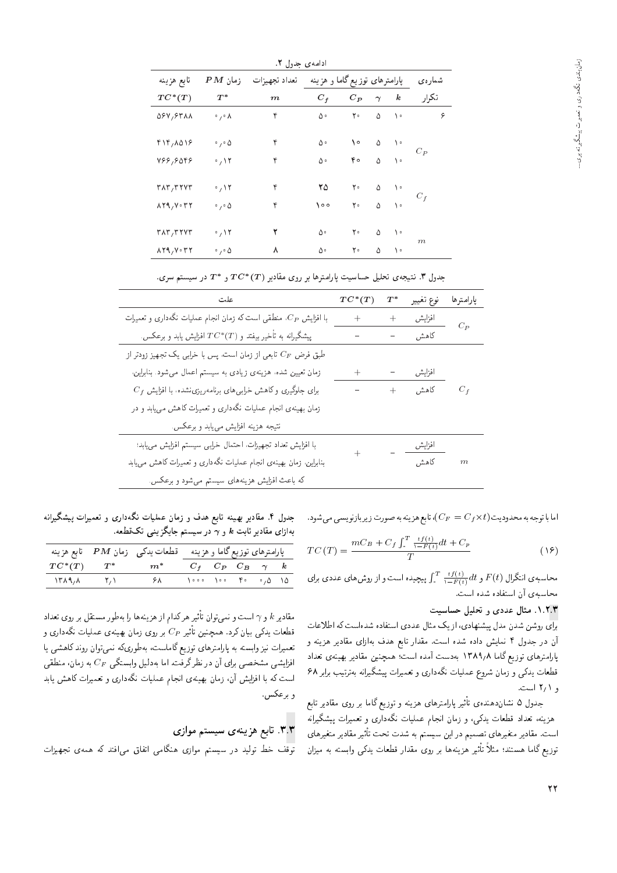| تابع هزينه                              | $PM$ زمان                  | تعداد تجهيزات |         | پارامترهای توزیع گاما و هزینه |          |                  | شمارەي |
|-----------------------------------------|----------------------------|---------------|---------|-------------------------------|----------|------------------|--------|
| $TC^*(T)$                               | $T^*$                      | $_{m}$        | $C_f$   | $C_P$                         | $\gamma$ | $\boldsymbol{k}$ | تكرار  |
| 088,8811                                | $\circ$ , $\circ$ $\wedge$ | ۴             | ۵۰      | ٢۰                            | Δ        | ١٠               | ۶      |
| $f \mid f / \Lambda$ $\Delta$ $\lambda$ | $\circ$ , $\circ$ $\Delta$ | ۴             | ۵۰      | ١٥                            | Δ        | ه ۱              |        |
| Y55,5055                                | $\cdot$ $\wedge$ $\vee$    | ۴             | ۵۰      | ۴۰                            | ۵        | ۰ ۱              | $C_P$  |
| $r \wedge r$ , $r \wedge r$             | $\cdot$ $\wedge$ $\vee$    | ۴             | ۲۵      | ٢٠                            | ۵        | ١٠               |        |
| $\lambda Y$ ۹, $V \cdot TY$             | $\circ$ , $\circ$ $\Delta$ | ۴             | $\circ$ | ٢٠                            | ۵        | ١٠               | $C_f$  |
| $r \wedge r$ , $r \wedge r$             | $\cdot$ / ۱۲               | ۲             | ۵۰      | ٢۰                            | Δ        | $\setminus$      |        |
| $\lambda Y$ ۹, $V \cdot T$              | $\circ$ , $\circ$ $\Delta$ | ٨             | ۵۰      | ٢۰                            | ۵        | ١٠               | m      |

جدول ۳. نتیجهی تحلیل حساسیت پارامترها بر روی مقادیر  $T C^* (T)$  و  $T^*$  در سیستم سری.

| علت                                                                    | $TC^*(T)$ | $\scriptstyle T^*$ | نوع تغيير      | بارامترها        |
|------------------------------------------------------------------------|-----------|--------------------|----------------|------------------|
| با افزایش $C_P$ ، منطقی است که زمان انجام عملیات نگهداری و تعمیرات     | $+$ $-$   | $\ddot{}$          | افزايش         | $C_P$            |
| پیشگیرانه به تأخیر بیفتد و $TC^*(T)$ افزایش یابد و برعکس.              |           | $\overline{a}$     | کا هش          |                  |
| طبق فرض $C_F$ تابعی از زمان است، پس با خرابی یک تجهیز زودتر از         |           |                    |                |                  |
| زمان تعیین شده، هزینهی زیادی به سیستم اعمال می شود. بنابراین،          | $^{+}$    |                    | افزايش         |                  |
| $C_f$ برای جلوگیری و کاهش خرابهههای برنامهریزی $\dot{u}$ ده، با افزایش | ÷         |                    | $+$ کاهش $C_f$ |                  |
| زمان بهینهی انجام عملیات نگهداری و تعمیرات کاهش می،یابد و در           |           |                    |                |                  |
| نتيجه هزينه افزايش مىيابد و برعكس.                                     |           |                    |                |                  |
| با افزایش تعداد تجهیزات، احتمال خرابی سیستم افزایش می یابد؛            |           |                    | افزايش         |                  |
| بنابراین. زمان بهینهی انجام عملیات نگهداری و تعمیرات کاهش میbیابد      |           |                    | کا هش          | $\boldsymbol{m}$ |
| كه باعث افزايش هزينههاى سيستم مى شود و برعكس.                          |           |                    |                |                  |
|                                                                        |           |                    |                |                  |

اما با توجه به محدو**دیت** (C $F = C_{f} \times t$  ')، تابع هزینه به صورت زیربازنویسی میشود.

$$
TC(T) = \frac{mC_B + C_f \int_{\tau}^{T} \frac{tf(t)}{\tau - F(t)} dt + C_p}{T}
$$
\n(19)

محاسبهی انتگرال ( F (t) و t<u>f (t) و T <sup>- t</sup>f (t) پی</u>چیده است و از روش های عددی برای<br>آ محاسبه ي آن استفاده شده است.

۱.۲.۳. مثال عددی و تحلیل حساسیت

<mark>برا</mark>ی روشن شدن مدل پیشنهادی، از یک مثال عددی استفاده شدهاست که اطلاعات<br>آن در جدول ۴ نمایش داده شده است. مقدار تابع هدف بهازای مقادیر هزینه و ان در جدول ۱ نمایس داده سده است. مقدار نابع هدف به زای مقادیر هزینه و<br>الحساب - محکول از ۱۳۸۵ پارامبرهای نوزیع داما ۱۱۸۱/۸ به دست آمده است: همچنین مفادیر بهینه ی تعداد<br>- این مرکز سیاست قطعات یدکی و زمان شروع عملیات نگهداری و تعمیرات پیشگیرانه بهترتیب برابر ۶۸  $\mathsf{C} \setminus \mathsf{C}$ و  $\mathsf{C} \setminus \mathsf{C}$  است.

جدول ۵ نشاندهندهی تاتیر پارامترهای هزینه و توزیع داما بر روی مفادیر تابع<br>مسجد استفادات ک هزینه، تعداد قطعات یدکی، و زمان انجام عملیات نگهداری و تعمیرات پیشگیرانه است. مفادیر متغیرهای تصمیم در این سیستم به شدت تحت تاتیر مفادیر متغیرهای<br>- پر گزارش میبین ملکهٔ باه توزیع داما هستند؛ مثلاً تاتیر هزینهها بر روی مفدار فطعات یدد<sub>ی</sub> وابسته به میزان<br>.

جدول ۴. مقادیر بهینه تابع هدف و زمان عملیات نگهداری و تعمیرات پیشگیرانه بهازای مقادیر ثابت  $k$  و  $\sqrt{\ }$ در سیستم جایگزینمی تکقطعه.

|                                               | پارامترهای توزیع گاما و هزینه = قطعات یدکی _ زمان $\boldsymbol{P}\boldsymbol{M}$ _ تابع هزینه                                        |  |  |  |
|-----------------------------------------------|--------------------------------------------------------------------------------------------------------------------------------------|--|--|--|
|                                               | $TC^*(T) \qquad T^* \qquad \qquad m^* \qquad \quad C_f \quad C_P \quad C_B \quad \gamma \quad \  k$                                  |  |  |  |
| $\Gamma_{\mathcal{A}}$ $\Gamma_{\mathcal{A}}$ | $PA$ and $\lambda \circ \circ \circ \quad \lambda \circ \circ \quad \forall \circ \quad \circ \rho \circ \quad \lambda \circ \Delta$ |  |  |  |
|                                               |                                                                                                                                      |  |  |  |

مقادیر k و v است و نسی توان تاثیر هرکدام از هزینهها را بهطور مستقل بر روی تعداد<br>- با با سبب کرد و است کرد و بیشهر میکند که w |Q=Oxov C=}rta |xv}y@ u=tR |wQ Q@ <sup>C</sup><sup>P</sup> Q}F -=Du}vJty "OQm u=}@ |mO} C=a]k تعمیرات نیز وابسته به پارامترهای توزیع داماست، به طوری که نمی توان روند داهسی یا<br>از این میلین از مطلب استقال استقال استقال استقال میرکسید که استقال استقال افزایشی مشخصی برای آن در نظرگرفت. اما بهدلیل وابستگی جمک به زمان، منطقی<br>است که با ازامین آ است که با افزایش آن، زمان بهینهی انجام عملیات نگهداری و تعمیرات کاهش یابد و برعكس.

## **۳.۳**. تابع هزینهی سیستم موازی

توقف خط تولید در سیستم موازی هنگامی انفاق می|فتد که همهی تجهیزات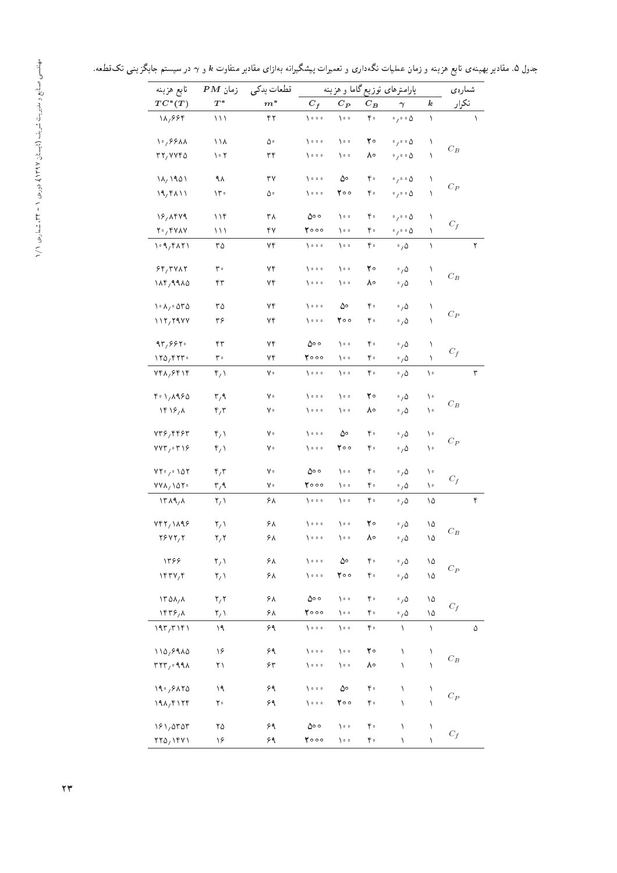جدول ۵. مقادیر بهینهی تابع هزینه و زمان عملیات نگهداری و تعمیرات پیشگیرانه بهازای مقادیر متفاوت k و <sub>Y</sub> در سیستم جایگزینی تکقطعه.

| تابع هزينه                                          | $PM$ زمان                      | قطعات يدكى |                             |                      |       | پارامترهای توزیع گاما و هزینه      |                  | شمارەي                      |   |
|-----------------------------------------------------|--------------------------------|------------|-----------------------------|----------------------|-------|------------------------------------|------------------|-----------------------------|---|
| $TC^*(T)$                                           | $T^*$                          | $m^*$      | $C_f$                       | $C_{I\!\!P}$         | $C_B$ | $\boldsymbol{\gamma}$              | $\boldsymbol{k}$ | تكرار                       |   |
| 18,884                                              | ۱۱۱                            | ۴۲         | $\lambda \circ \circ \circ$ | ه ۱۰                 | ۴۰    | $\cdot$ , $\cdot$ $\circ$ $\Delta$ | ١                |                             | ١ |
| $\sqrt{2}/2.5$                                      | ۱۱۸                            | ۵۰         | $\lambda \circ \circ \circ$ | ه ۱                  | ٢۰    | $\circ$ / $\circ$ 0                | ١                |                             |   |
| rr, rrr0                                            | ۲ ۰ ۱                          | ٣۴         | 7000                        | ه ۱                  | ٨۰    | $\circ$ , $\circ$ $\circ$ $\Delta$ | ١                | $C_B$                       |   |
| $\lambda/\lambda$ 1901                              | ۹۸                             | ٣٧         | $\lambda \circ \circ \circ$ | ۵۰                   | ۴۰    | $\circ$ , $\circ$ $\circ$ $\circ$  | ١                |                             |   |
| $19,9$ A $11$                                       | $\mathcal{M}$                  | ۵۰         | 7000                        | ۲۰۰                  | ۴۰    | $\circ$ / $\circ$ 0                | ١                | $C_P$                       |   |
| 18,1449                                             | 11f                            | ۳۸         | ه ه۵                        | ه ۱۰                 | ۴۰    | $\circ$ , $\circ$ $\circ$ $\Delta$ | ١                |                             |   |
| $Y \cdot Y$                                         | ۱۱۱                            | ۴۷         | ۲۰۰۰                        | ه ۱۰                 | ۴۰    | $\cdot$ , $\cdot$ $\circ$ $\Delta$ | ١                | $C_f$                       |   |
| $\cdot$ 9, 30 $\cdot$                               | ۳۵                             | ۷۴         | 1000                        | ∘ ہ∖                 | ۴۰    | $\cdot$ , $\Delta$                 | ١                |                             | ٢ |
| $89/7$ $VAT$                                        | ٣۰                             | ۷۴         | $\lambda \circ \circ \circ$ | ه ۱۰                 | ٢۰    | $\cdot$ , $\Delta$                 | ١                |                             |   |
| $\lambda \lambda \gamma$ ,9980                      | ۴۳                             | ۷۴         | 1000                        | ه ۱                  | ٨۰    | $\cdot$ , $\Delta$                 | $\lambda$        | $C_B$                       |   |
| $\lambda \cdot \lambda / \cdot$ ard                 | ۳۵                             | ۷۴         | $\lambda \circ \circ \circ$ | ۵۰                   | ۴۰    | $\cdot$ , $\Delta$                 | ١                |                             |   |
| 117,7977                                            | ۳۶                             | ۷۴         | 1000                        | ه ه ۲                | ۴۰    | $\cdot$ , $\Delta$                 | ١                | $C_{\mathcal{P}}$           |   |
| 97,997                                              | ۴٣                             | ٧۴         | ه ه۵                        | ه ۱۰                 | ۴۰    | $\cdot$ , $\Delta$                 | ١                |                             |   |
| $\gamma \gamma \gamma$ ۴۲۳۰                         | ۳۰                             | ۷۴         | 7000                        | ∘ ہ∖                 | ۴۰    | $\cdot$ , $\Delta$                 | ١                | $\mathcal{C}_f$             |   |
| $Yf \wedge_f f f \wedge_f f$                        | ۴٫۱                            | γ۰         | $\lambda \circ \circ \circ$ | ه ۱                  | ۴۰    | $\cdot$ , $\Delta$                 | ۱۰               |                             | ٣ |
| $f \circ 1, A950$                                   | $\mathsf{r},\mathsf{q}$        | γ۰         | $\lambda \circ \circ \circ$ | ه ۱۰                 | ٢۰    | $\cdot$ , $\Delta$                 | ١٠               |                             |   |
| $\Upsilon \Sigma$                                   | $\mathfrak{r}_i$               | γ۰         | 1000                        | ه ۱                  | ٨۰    | $\cdot$ , $\Delta$                 | ١٠               | $C_B$                       |   |
| $vr$ ۶,۴۴۶۳                                         | $\mathfrak{r}_{\ell}$          | γ۰         | $\lambda \circ \circ \circ$ | ەە                   | ۴۰    | $\cdot$ , $\Delta$                 | ١٠               |                             |   |
| $VVT/$ $T$                                          | $\mathfrak{r}_{\ell}$          | γ۰         | 1000                        | ه ه ۲                | ۴۰    | $\cdot$ , $\Delta$                 | ١٠               | $C_P$                       |   |
| $VT \cdot y \cdot \Delta Y$                         | $\mathfrak{r}_i$ r             | γ۰         | ه ه ۵                       | ه ۱۰                 | ۴۰    | $\cdot$ , $\Delta$                 | ١٠               |                             |   |
| VVA, VOP                                            | $\mathsf{r}, \mathsf{q}$       | γ۰         | ۲۰۰۰                        | ه ۱۰                 | ۴۰    | $\cdot$ , $\Delta$                 | ١٠               | $\mathcal{C}_f$             |   |
| $\lambda$ $\uparrow$ $\lambda$ $\uparrow$ $\lambda$ | $\mathsf{Y}_\ell$              | ۶۸         | 7000                        | ه ۱                  | ۴۰    | $\cdot$ , $\Delta$                 | ۱۵               |                             | ۴ |
| VfY, VAY                                            | $\mathsf{Y}_\ell$              | ۶۸         | $\lambda \circ \circ \circ$ | ه ۱                  | ٢۰    | $\cdot$ , $\Delta$                 | ۱۵               |                             |   |
| YYYY, Y                                             | ۲٫۲                            | ۶۸         | 7000                        | ه ۱                  | ۸۰    | $^\circ$ , $\Delta$                | ۱۵               | $C_B$                       |   |
| 1398                                                | $\mathbf{Y}_{\ell}$            | ۶۸         | $\lambda \circ \circ \circ$ | ۵۰                   | ۴۰    | $\cdot$ , $\Delta$                 | ۱۵               |                             |   |
| $\gamma$                                            | $\mathbf{Y}_f$                 | ۶۸         | $\lambda \circ \circ \circ$ | ۲۰۰                  | ۴۰    | $\cdot$ , $\Delta$                 | ۱۵               | $\mathcal{C}_{\mathcal{P}}$ |   |
| 170A/A                                              | $\mathbf{y} \times \mathbf{y}$ | ۶۸         | ه ه۵                        | $\sqrt{2}$           | ۴۰    | $\cdot$ , $\Delta$                 | ۱۵               |                             |   |
| 155, A                                              | $\mathbf{Y}_f$                 | ۶۸         | 7000                        | ه ۱۰                 | ۴۰    | $\cdot$ , $\Delta$                 | ۱۵               | $\mathcal{C}_f$             |   |
| 197/T181                                            | ۱۹                             | ۶۹         | $\lambda \circ \circ \circ$ | $\sqrt{2}$           | ۴۰    | ١                                  | ١                |                             | ۵ |
| 110,8910                                            | ۱۶                             | ۶۹         | $\sqrt{2}$                  | $\sum_{i=1}^{n} a_i$ | ٢۰    | ١                                  | ١                |                             |   |
| TTT/999A                                            | $\uparrow \uparrow$            | ۶۳         | $\lambda \circ \circ \circ$ | ه ۱۰                 | ٨۰    | ١                                  | ١                | $\mathcal{C}_B$             |   |
| 19.97470                                            | ۱۹                             | ۶۹         | $\lambda$ o o o             | ۵۰                   | ۴۰    | ١                                  | ١                |                             |   |
| 19A/F177                                            | ٢۰                             | ۶۹         | $\lambda \circ \circ \circ$ | ۲۰۰                  | ۴۰    | ١                                  | ١                | $C_P$                       |   |
| 191,0707                                            | ۲۵                             | ۶۹         | ه ه ۵                       | ه ۱۰                 | ۴۰    | ١                                  | ١                |                             |   |
| $\mathsf{YYQ}_{1}\mathsf{Y}\mathsf{YYV}$            | ۱۶                             | ۶۹         | 7000                        | ه ۱۰                 | ۴۰    | ١                                  | Λ                | $C_f$                       |   |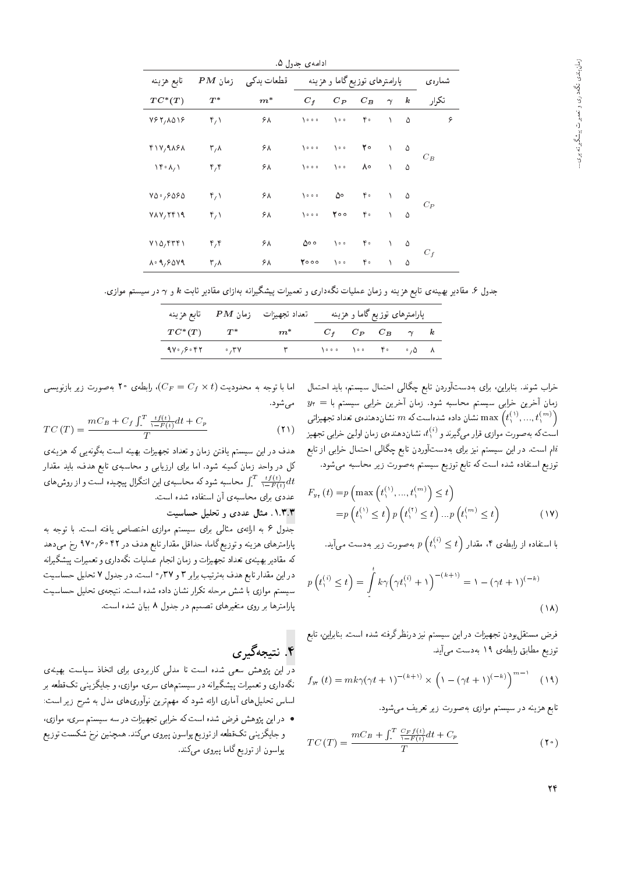|                                                              |                     |            | ادامەي حدول ۵. |                               |                  |               |          |        |
|--------------------------------------------------------------|---------------------|------------|----------------|-------------------------------|------------------|---------------|----------|--------|
| تابع هزينه                                                   | $PM$ زمان           | قطعات يدكى |                | پارامترهای توزیع گاما و هزینه |                  |               |          | شمارەي |
| $TC^*(T)$                                                    | $T^*$               | $m^\ast$   | $C_f$          | $C_{P}$                       | $C_B$            | $\gamma$      | $\bm{k}$ | تكرار  |
| Y57, A019                                                    | ۴٫۱                 | ۶۸         | $\sqrt{2}$     |                               | $\mathfrak{r}$ . | $\Delta$      | ۵        | ۶      |
| F 1V, 9 ASA                                                  | ۳,۸                 | ۶۸         | $\sqrt{2}$     | $\lambda \circ \circ$         | ٢۰               | $\Delta$      | ۵        |        |
| $\lambda \uparrow \cdot \lambda / \lambda$                   | ۴٫۴                 | ۶۸         | $\sqrt{2}$     | $\sqrt{2}$                    | $\Lambda$ °      | $\Delta$      | Δ        | $C_B$  |
| $V\Delta$ <sup>0</sup> / $S\Delta$                           | ۴٫۱                 | ۶۸         | 1000           | ۵۰                            | $\mathfrak{r}$ . | $\Delta \sim$ | $\Delta$ |        |
| VAV, Yf                                                      | $\mathfrak{r}_\ell$ | ۶۸         | $\sqrt{2}$     | $\mathbf{Y} \circ \circ$      | $\mathfrak{r}$ . | $\mathcal{N}$ | Δ        | $C_P$  |
| $V \setminus \Delta$ , $\uparrow \uparrow \uparrow \uparrow$ | ۴٫۴                 | ۶۸         | ه ه ۵          | $\lambda \circ \circ$         | ۴۰               | $\sqrt{2}$    | ۵        |        |
| $\lambda \cdot 9,9049$                                       | ۳,۸                 | ۶۸         | 7000           | $\lambda \cdot \cdot$         | ۴۰               | $\lambda$     | ۵        | $C_f$  |

جدول ۶. مقادیر بهینهی تابع هزینه و زمان عملیات نگهداری و تعمیرات پیشگیرانه بهازای مقادیر ثابت  $k$  و  $\gamma$  در سیستم موازی.

|                                     | تعداد تجهیزات زمان $\bm{P} \bm{M}$ تابع هزینه                                                                                        |  | پارامترهای توزیع گاما و هزینه |  |
|-------------------------------------|--------------------------------------------------------------------------------------------------------------------------------------|--|-------------------------------|--|
|                                     | $TC^*(T)$ $T^*$ $m^*$                                                                                                                |  | $C_f$ $C_P$ $C_B$ $\gamma$ k  |  |
| $4V^{\circ}/8^{\circ}$ $8V^{\circ}$ | $\mathsf{r}$ (and $\mathsf{r}$ and $\mathsf{r}$ and $\mathsf{r}$ and $\mathsf{r}$ and $\mathsf{r}$ and $\mathsf{r}$ and $\mathsf{r}$ |  |                               |  |

خراب شوند. بنابراین، برای بهدستآوردن تابع چگالی احتمال سیستم، باید احتمال  $y_{\tau} = y_{\tau}$ زمان آخرین خرابی سیستم محاسبه شود. زمان آخرین خرابی سیستم با تشان داده شدهاست که  $m$  نشان دهنده تشان داده شویرانی  $\text{max}\left(t_1^{(1)},...,t_1^{(m)}\right)$  $\lambda$ است که به صورت موازی قرار میگیرند و  $t_{\lambda}^{(i)}$ ، نشان دهندهی زمان اولین خرابی تجهیز<br>ناماست که به صورت موازی ام است. در این سیستم نیز برای بهدستآوردن تابع چگالی احتمال خرابی از تابع $i$ توزیع استفاده شده است که تابع توزیع سیستم بهصورت زیر محاسبه میشود.

$$
F_{y_{\mathbf{v}}}(t) = p\left(\max\left(t_{\mathbf{v}}^{(\mathbf{v})}, \dots, t_{\mathbf{v}}^{(m)}\right) \le t\right)
$$

$$
= p\left(t_{\mathbf{v}}^{(\mathbf{v})} \le t\right) p\left(t_{\mathbf{v}}^{(\mathbf{v})} \le t\right) \dots p\left(t_{\mathbf{v}}^{(m)} \le t\right) \tag{1\V}
$$

بەصورت زیر بەدست مى $p\left(t_{\text{v}}^{(i)} \leq t\right)$ با استفاده از رابطهی ۱، مقدار<br>.

$$
p\left(t_{1}^{(i)} \leq t\right) = \int\limits_{0}^{t} k\gamma \left(\gamma t_{1}^{(i)} + 1\right)^{-(k+1)} = 1 - (\gamma t + 1)^{(-k)}
$$
\n
$$
(1\lambda)
$$

فرض مستقل بودن تجهیزات در این سیستم نیز درنظرگرفته شده است. بنابراین، تابع توزیع مطابق رابطهی ۱۹ بهدست میآید.

$$
f_{y_{\tau}}(t) = mk\gamma(\gamma t + 1)^{-(k+1)} \times \left(1 - (\gamma t + 1)^{(-k)}\right)^{m-1} \quad (14)
$$

تابع هزینه در سیستم موازی بهصورت زیر تعریف می شود.

$$
TC(T) = \frac{mC_B + \int_{\cdot}^{T} \frac{C_F f(t)}{\lambda - F(t)} dt + C_p}{T}
$$
 (1)

اما با توجه به محدودیت (C $F=C_f\times t$ )، رابطهی ۲۰ بهصورت زیر بازنویسی $\cdot$ مې شود.

$$
TC(T) = \frac{mC_B + C_f \int_{\tau}^{T} \frac{tf(t)}{\gamma - F(t)} dt + C_p}{T}
$$
\n(1)

هدف در این سیستم یافتن زمان و تعداد تجهیزات بهینه است بهگونه یی که هزینه ی کل در واحد زمان کمینه شود. اما برای ارزیابی و محاسبهی تابع هدف، باید مقدار محاسبه شود که محاسبهی این انتگرال پیچیده است و از روش های  $\int_{-F(t)}^{T} \frac{tf(t)}{\sqrt{-F(t)}} dt$ عددی برای محاسبهی آن استفاده شده است.

#### ۱.۳.۳ مثال عددی و تحلیل حساسیت

جدول ۶ به ارائهى مثال<sub>ى</sub> براى سيستم موازى اختصاص يافته است. با توجه به پارامترهای هزینه و توزیع گاما، حداقل مقدار تابع هدف در ۴۲ °۰۶/ ۹۷۰ رخ میدهد که مقادیر بهینه ی تعداد تجهیزات و زمان انجام عملیات نگهداری و تعمیرات پیشگیرانه در این مقدار تابع هدف بهترتیب برابر ۳ و ۳۷٫ است. در جدول ۷ تحلیل حساسیت سیستم موازی با شش مرحله تکرار نشان داده شده است. نتیجهی تحلیل حساسیت پارامترها بر روی متغیرهای تصمیم در جدول ۸ بیان شده است.

# ۴. نتيجهگيري

در این پژوهش سعی شده است تا مدلی کاربردی برای اتخاذ سیاست بهینهی نگهداری و تعمیرات پیشگیرانه در سیستمهای سری، موازی، و جایگزینی تکقطعه بر اساس تحلیلهای آماری ارائه شودکه مهمترین نوآوریهای مدل به شرح زیر است:

● در این پژوهش فرض شده است که خرابی تجهیزات در سه سیستم سری، موازی، و جايگزيني تکقطعه از توزيع پواسون پيروي ميکند. همچنين نرخ شکست توزيع پواسون از توزیع گاما پیروی میکند.

٢۴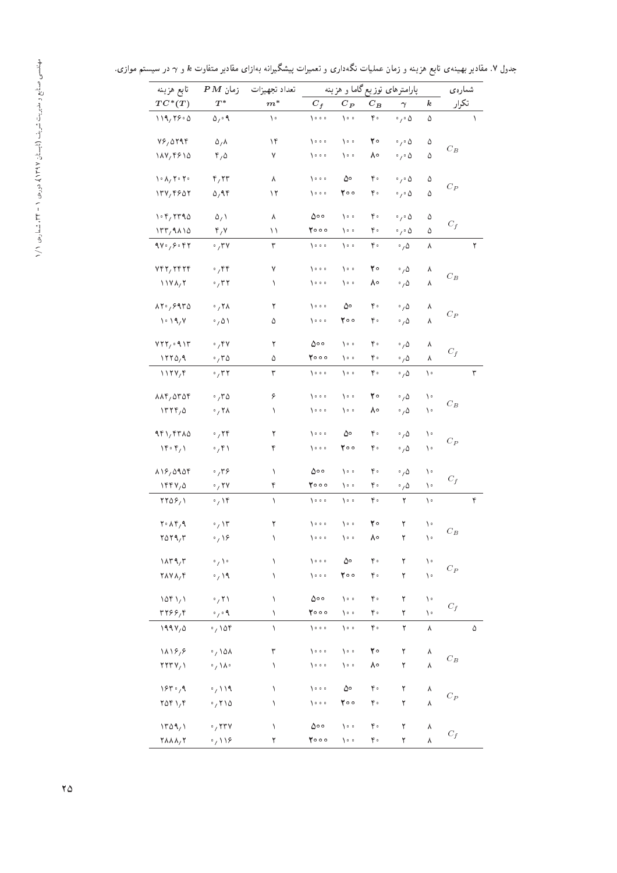جدول ۷. مقادیر بهینهی تابع هزینه و زمان عملیات نگهداری و تعمیرات پیشگیرانه بهازای مقادیر متفاوت & و  $\gamma$  در سیستم موازی.

| تابع هزينه                                                 | $PM$ زمان                              | تعداد تجهيزات |                             |                       |         | پارامترهای توزیع گاما و هزینه     |                  | شمارەي                      |   |
|------------------------------------------------------------|----------------------------------------|---------------|-----------------------------|-----------------------|---------|-----------------------------------|------------------|-----------------------------|---|
| $TC^*(T)$                                                  | $\scriptstyle T^*$                     | $m^*$         | $C_f$                       | $C_P$                 | $C_{B}$ | $\gamma$                          | $\boldsymbol{k}$ | تكرار                       |   |
| 119,79.0                                                   | $\Delta_1 \circ \mathcal{A}$           | ١٠            | 1000                        | ه ۱۰                  | ۴۰      | $\cdot$ , $\circ$ $\Delta$        | ۵                |                             | ١ |
| Y5,0199                                                    | $\Delta/\Lambda$                       | ۱۴            | 7000                        | ه ۱                   | ٢۰      | $\circ$ $\prime$ $\circ$ $\Delta$ | ۵                |                             |   |
| 117,9810                                                   | $\mathfrak{r}_\ell\mathfrak{0}$        | ٧             | $\lambda \circ \circ \circ$ | ه ۱                   | ۸۰      | $\cdot$ , $\cdot$ $\Delta$        | ۵                | $C_B$                       |   |
| $\lambda \cdot \lambda / \lambda \cdot \lambda$            | $\mathbf{r}, \mathbf{r}$               | ٨             | 7000                        | ۵۰                    | ۴۰      | $\circ$ , $\circ$ $\Delta$        | ۵                |                             |   |
| 174, 1907                                                  | 0,94                                   | ۱۲            | 7000                        | ۲۰۰                   | ۴۰      | $\cdot$ , $\cdot$ $\Delta$        | ۵                | $C_P$                       |   |
| $\cdot$ $\cdot$ $\cdot$ $\cdot$ $\cdot$ $\cdot$ $\cdot$    | $\Delta /$ \                           | ٨             | ه ه۵                        | ه ۱۰                  | ۴۰      | $\cdot$ , $\cdot$ $\Delta$        | ۵                |                             |   |
| $177,9$ $\Lambda$ 10                                       | $\mathbf{r}, \mathbf{v}$               | ۱۱            | ۲۰۰۰                        | ه ۱                   | ۴۰      | $\cdot$ , $\cdot$ $\circ$         | ۵                | $C_f$                       |   |
| 9V°, 9°                                                    | $\cdot$ ,۳۷                            | ٣             | $\lambda \circ \circ \circ$ | ه ۱                   | ۴۰      | $\cdot$ , $\Delta$                | ٨                |                             | ٢ |
| YfY, YfYf                                                  | $\cdot$ ,۴۴                            | ٧             | 1000                        | ه ۱۰                  | ٢۰      | $\cdot$ , $\Delta$                | ٨                |                             |   |
| $11Y\lambda/T$                                             | $\cdot$ , $\tau$ $\tau$                | ١             | 7000                        | ه ۱                   | ۸۰      | ۰, ۵                              | ٨                | $C_B$                       |   |
| $\lambda \gamma$ , $\gamma$ 9 $\gamma$                     | $\cdot$ , ۲۸                           | ٢             | 7000                        | ەە                    | ۴۰      | $\cdot$ , $\Delta$                | ٨                |                             |   |
| 1.19, 1                                                    | $\cdot$ , $\Delta \lambda$             | ۵             | 7000                        | ه ه ۲                 | ۴۰      | $\cdot$ , $\Delta$                | ٨                | $C_P$                       |   |
| VTY, 91T                                                   | .74                                    | ٢             | ه ه ۵                       | ه ۱                   | ۴۰      | $\cdot$ , $\Delta$                | ٨                |                             |   |
| 1770,9                                                     | $\cdot$ , ۳۵                           | ۵             | ۲۰۰۰                        | ه ۱                   | ۴۰      | $\cdot$ , 0                       | ٨                | $C_f$                       |   |
| $1179,$ f                                                  | $\cdot$ , $\mathsf{r}$                 | ٣             | 1000                        | ه ۱                   | ۴۰      | $\cdot$ , $\Delta$                | ١٠               |                             | ٣ |
| $\lambda \lambda \mathbf{f}/\Delta \mathbf{r}$             | .70                                    | ۶             | 1000                        | ه ۱                   | ٢۰      | $\cdot$ , $\Delta$                | ۱۰               |                             |   |
| 17790                                                      | $\cdot$ , ۲۸                           | ١             | 7000                        | ه ۱                   | ٨۰      | $\cdot$ , $\Delta$                | ۱۰               | $C_B$                       |   |
| 4f1/ffA0                                                   | $\cdot$ , ۲۴                           | ٢             | 1000                        | ەە                    | ۴۰      | $\cdot$ , $\Delta$                | ۱۰               |                             |   |
| $\mathcal{M} \circ \mathfrak{f}_1$ )                       | $\cdot$ ,۴۱                            | ۴             | 7000                        | ۲۰۰                   | ۴۰      | $\cdot$ , $\Delta$                | ۱۰               | $C_P$                       |   |
| 118,0101                                                   | .779                                   | ١             | ه ه ۵                       | ه ۱                   | ۴۰      | $\cdot$ , $\Delta$                | ۱۰               |                             |   |
| 1994/0                                                     | $\cdot$ , ۲۷                           | ۴             | ۲۰۰۰                        | ه ۱                   | ۴۰      | $\cdot$ , $\Delta$                | ۱۰               | $C_f$                       |   |
| $YY\Delta S/\lambda$                                       | $\cdot$ / ۱۴                           | ١             | 1000                        | ه ۱                   | ۴۰      | ٢                                 | ١٠               |                             | ۴ |
| $Y \cdot \Lambda Y$                                        | $\cdot$ , ۱۳                           | ٢             | 1000                        | ه ۱۰                  | ٢۰      | ٢                                 | ۱۰               |                             |   |
| 7079,7                                                     | $\cdot$ , $\sqrt{2}$                   | ١             | 7000                        | ه ۱                   | ۸۰      | ٢                                 | ١٠               | $C_B$                       |   |
| $\lambda \pi$ ۹,۳                                          | $\mathfrak{g} \setminus \mathfrak{g}$  | ١             | 1000                        | ەە                    | ۴۰      | ٢                                 | ١٠               |                             |   |
| $\mathbf{Y}\wedge\mathbf{Y}\wedge_{\mathcal{I}}\mathbf{Y}$ | $\cdot$ / 19                           | ١             | $\lambda \circ \circ \circ$ | ه ه ۲                 | ۴۰      | ٢                                 | ١٠               | $C_P$                       |   |
| 10f1/1                                                     | $\cdot$ /۲۱                            | ١             | ه ه ۵                       | $\lambda \circ \circ$ | ۴۰      | ٢                                 | ١٠               |                             |   |
| rr99/6                                                     | $\circ$ $\prime$ $\circ$ $\mathcal{A}$ | ١             | 7000                        | ه ۱۰                  | ۴۰      | ٢                                 | ١٠               | $C_f$                       |   |
| $199V, \Delta$                                             | $\cdot$ , ۱۵۴                          | ١             | $\sqrt{0.00}$               | ه ۱۰                  | ۴۰      | ٢                                 | ٨                |                             | ۵ |
| 11197                                                      | $\cdot$ , ۱۵۸                          | ٣             | $\lambda \circ \circ \circ$ | ه ۱۰                  | ٢۰      | ٢                                 | ٨                |                             |   |
| $YYY/\lambda$                                              | $\cdot / \lambda$                      | ١             | $\lambda \circ \circ \circ$ | ه ۱                   | ٨۰      | ٢                                 | ٨                | $\mathcal{C}_{\mathcal{B}}$ |   |
| 184.4                                                      | $\cdot$ / 119                          | ١             | $\lambda \circ \circ \circ$ | ەە                    | ۴۰      | ٢                                 | ٨                |                             |   |
| $Y\Delta Y$                                                | .710                                   | ١             | $\lambda \circ \circ \circ$ | ۲۰۰                   | ۴۰      | ٢                                 | ٨                | $C_P$                       |   |
| $\sqrt{r} \Delta \sqrt{r}$                                 | $\cdot$ , $\mathsf{rrv}$               | ١             | ه ه۵                        | ه ۱۰                  | ۴۰      | ٢                                 | ٨                |                             |   |
| $\gamma$ $\lambda$ $\lambda$ <sub>/</sub> $\gamma$         | $\cdot$ / 118                          | ٢             | ۲۰۰۰                        | ه ۱۰                  | ۴۰      | ٢                                 | ٨                | $\boldsymbol{C}_f$          |   |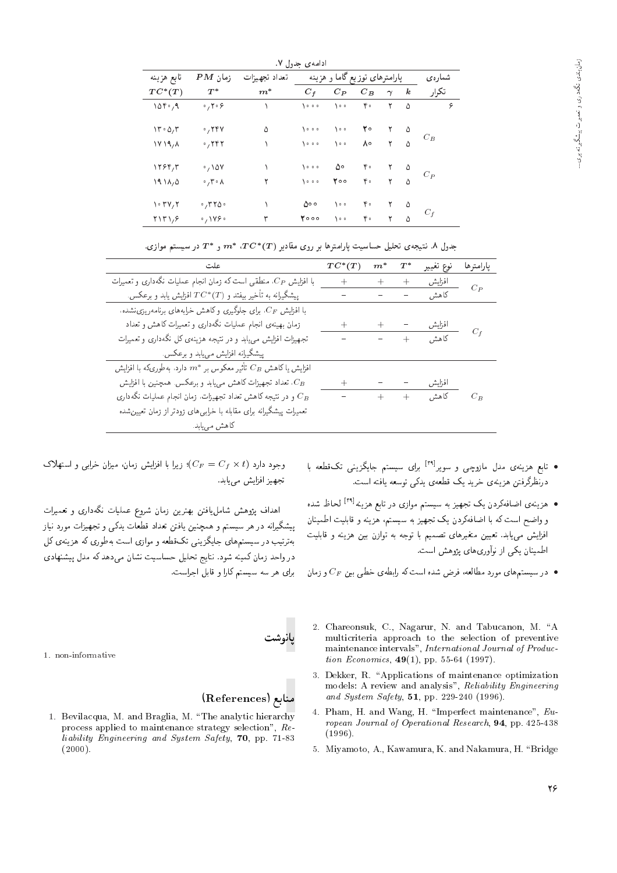|                                               |                                               |               | ادامە <i>ى</i> حدول ۷. |                               |       |          |                  |        |   |
|-----------------------------------------------|-----------------------------------------------|---------------|------------------------|-------------------------------|-------|----------|------------------|--------|---|
| تابع هزينه                                    | $PM$ زمان                                     | تعداد تجهيزات |                        | پارامترهای توزیع گاما و هزینه |       |          |                  | شمارەي |   |
| $TC^*(T)$                                     | $T^*$                                         | $m^*$         | $C_f$                  | $C_P$                         | $C_B$ | $\gamma$ | $\boldsymbol{k}$ | تكرار  |   |
| 105.4                                         | $\cdot$ , ۲ $\cdot$ ۶                         |               | $\lambda$              | $\sum_{i=1}^{n} a_i$          | ۴۰    | ٢        | ۵                |        | ۶ |
| $\mathcal{N} \cdot \mathcal{O}_1 \mathcal{R}$ | $\cdot$ , ۲۴۷                                 | ۵             | 1000                   | ه ۱۰                          | ۲۰    |          | ۵                |        |   |
| 1Y11/A                                        | $\cdot$ , ۲۴۲                                 |               | $\lambda$              | $\lambda \circ \circ$         | ٨۰    | ۲        | Δ                | $C_B$  |   |
| 1799/7                                        | $\cdot$ , ۱۵۷                                 |               | 1000                   | ۵۰                            | ۴۰    |          | ۵                |        |   |
| 1911/0                                        | $\cdot$ , $\mathsf{r} \cdot \mathsf{\Lambda}$ |               | $\lambda$              | 500                           | ۴۰    | ۲        |                  | $C_P$  |   |
| $\cdot$ $\mathsf{r}\mathsf{v}\mathsf{r}$      | $\cdot$ , ۳۲۵ $\cdot$                         |               | ه ه۵                   | ه ه (                         | ۴۰    |          | ۵                |        |   |
| $Y \ Y \ Y$                                   | $\circ$ , $\setminus$ $\vee$ $\circ$          | ٣             | 7000                   | ه ۱۰                          | ۴۰    | ۲        | Δ                | $C_f$  |   |

جدول ۸. نتیجهی تحلیل حساسیت پارامترها بر روی مقادیر ( $T$ )\*  $T$ ، \* $T$  و \* $T$  در سیستم موازی.

| علت                                                                       | $TC^*(T)$         | $m^\ast$ | $T^{\ast}$ | نوع تغيير       | يارامترها |
|---------------------------------------------------------------------------|-------------------|----------|------------|-----------------|-----------|
| با افزایش $C_P$ ، منطقی است که زمان انجام عملیات نگهداری و تعمیرات        | $+$               | $+$      | $^{+}$     | افزايش          | $C_{P}$   |
| پیشگیرانه به تأخیر بیفتد و $TC^*(T)$ افزایش یابد و برعکس.                 |                   |          |            | كاهش            |           |
| با افزایش $C_F$ ، برای جلوگیری و کاهش خرابههای برنامه $\mu$ ریزی نشده،    |                   |          |            |                 |           |
| زمان بهینهی انجام عملیات نگهداری و تعمیرات کاهش و تعداد                   | $\overline{+}$    | $+$      |            | افزايش          |           |
| تجهیزات افزایش مهیابد و در نتیجه هزینهی کل نگهداری و تعمیرات              |                   |          | $ +$ $-$   | کا ھش           | $C_f$     |
| پیشگیرانه افزایش می،یابد و برعکس.                                         |                   |          |            |                 |           |
| افزایش یا کاهش $C_B$ تأثیر معکوس بر * $m^{\ast}$ دارد. بهطوریکه با افزایش |                   |          |            |                 |           |
| تعداد تجهیزات کاهش مییابد و برعکس. همچنین با افزایش، $C_B$                | $^{+}$            |          |            | افزايش          |           |
| و در نتیجه کاهش تعداد تجهیزات، زمان انجام عملیات نگهداری $C_B$            | $\qquad \qquad -$ |          |            | کاهش <b>+</b> + | $C_B$     |
| تعمیرات پیشگیرانه برای مقابله با خرابی های زودتر از زمان تعیین شده        |                   |          |            |                 |           |
| کاهش م <sub>ی</sub> یابد.                                                 |                   |          |            |                 |           |

- تابع هزینهی مدل مازوچی و سویر<sup>[۲۹]</sup> برای سیستم جایگزینی تکقطعه با<br>مناتج درنظرگرفتن هزینهی خرید یک قطعهی یدک<sub>ه</sub> توسعه یافته است.
- هزینهی اضافهکردن یک تجهیز به سیستم موازی در تابع هزینه<sup>[۲۹]</sup> لحاظ شده<br>باید باید توسط با ایران کو به کوچ و واضح است ته با اصافه ردن یک تجهیز به سیستم، هزینه و قابلیت اصمینان<br>ازاد مصاحب است افزایس می⊔بد. تعیین متعیرهای تصمیم با توجه به توازن بین هزینه و قابلیت<br>المصادر کے ایک آ اطمینان یکی از نوآوری های پژوهش است.
- در سیستمهای مورد مطالعه، فرض شده است که رابطهی خطی بین  $C_F$  و زمان  $\epsilon$
- 2. Chareonsuk, C., Nagarur, N. and Tabucanon, M. "A multicriteria approach to the selection of preventive maintenance intervals", International Journal of Production Economics, 49(1), pp. 55-64 (1997).
- 3. Dekker, R. \Applications of maintenance optimization models: A review and analysis", Reliability Engineering and System Safety, 51, pp. 229-240 (1996).
- 4. Pham, H. and Wang, H. \Imperfect maintenance", European Journal of Operational Research, 94, pp. 425-438 (1996).
- 5. Miyamoto, A., Kawamura, K. and Nakamura, H. \Bridge

وجود دارد ( $C_F = C_f \times t$ )؛ زیرا با افزایش زمان، میزان خرابی و استهلاک<br>میسمانیا و اسلامی تجهیز افزایش مے باید.

اهداف پژوهش شامل،افتن بهترین زمان شروع عملیات نگهداری و تعمیرات<br>پیشگیرانه در هر سیستم و همچنین یافتن تعداد قطعات یدکمی و تجهیزات مورد نیاز R=}v OQwt C=R}yHD w |mO} C=a]k O=OaD uDi=} u}vJty w sDU}U Qy QO xv=Q}oW}B به رسب در سیسم های جایلازینی تک فضعه و موازی است به طوری که هزینهی کل<br>است سایت میشود که است ایل است به این کلیک کلیم و است در واحد زمان کمینه شود. نتایج تحلیل حساسیت نشان می دهد که مدل پیشنهادی برای هر سه سیستم کارا و قابل اجراست.



1. non-informative

#### منابع (References)

1. Bevilacqua, M. and Braglia, M. \The analytic hierarchy process applied to maintenance strategy selection", Reliability Engineering and System Safety, 70, pp. 71-83  $(2000)$ .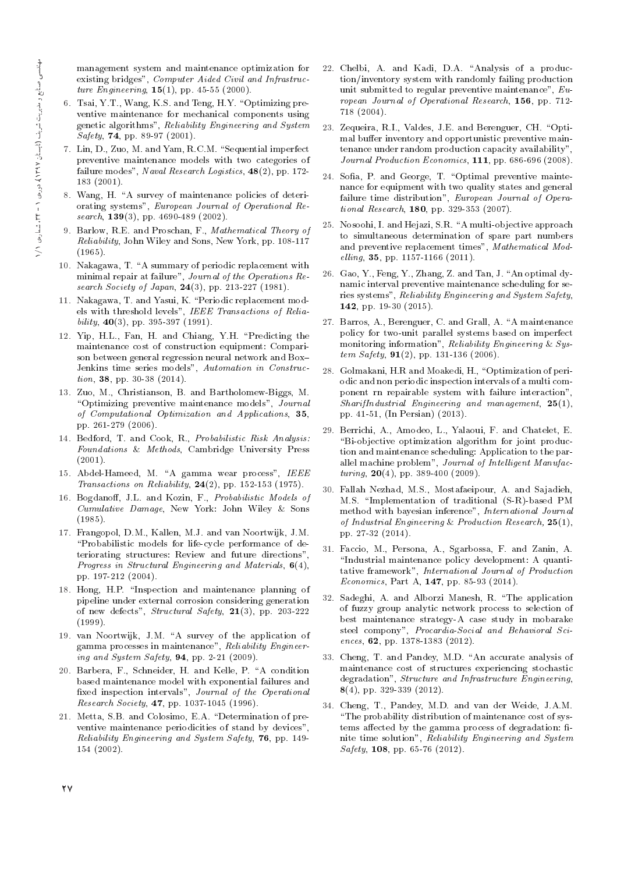management system and maintenance optimization for existing bridges", Computer Aided Civil and Infrastructure Engineering,  $15(1)$ , pp. 45-55 (2000).

- 6. Tsai, Y.T., Wang, K.S. and Teng, H.Y. "Optimizing preventive maintenance for mechanical components using genetic algorithms", Reliability Engineering and System Safety, 74, pp. 89-97 (2001).
- 7. Lin, D., Zuo, M. and Yam, R.C.M. "Sequential imperfect preventive maintenance models with two categories of failure modes", Naval Research Logistics, 48(2), pp. 172- 183 (2001).
- 8. Wang, H. "A survey of maintenance policies of deteriorating systems", European Journal of Operational Research, 139(3), pp. 4690-489 (2002).
- 9. Barlow, R.E. and Proschan, F., Mathematical Theory of Reliability, John Wiley and Sons, New York, pp. 108-117 (1965).
- 10. Nakagawa, T. "A summary of periodic replacement with minimal repair at failure", Journal of the Operations Research Society of Japan,  $24(3)$ , pp. 213-227 (1981).
- 11. Nakagawa, T. and Yasui, K. \Periodic replacement models with threshold levels", IEEE Transactions of Relia $bility, 40(3), pp. 395-397 (1991).$
- 12. Yip, H.L., Fan, H. and Chiang, Y.H. \Predicting the maintenance cost of construction equipment: Comparison between general regression neural network and Box{ Jenkins time series models", Automation in Construction, 38, pp. 30-38 (2014).
- 13. Zuo, M., Christianson, B. and Bartholomew-Biggs, M. "Optimizing preventive maintenance models", Journal of Computational Optimization and Applications, 35, pp. 261-279 (2006).
- 14. Bedford, T. and Cook, R., Probabilistic Risk Analysis: Foundations & Methods, Cambridge University Press (2001).
- 15. Abdel-Hameed, M. "A gamma wear process", IEEE Transactions on Reliability,  $24(2)$ , pp. 152-153 (1975).
- 16. Bogdanoff, J.L. and Kozin, F., Probabilistic Models of Cumulative Damage, New York: John Wiley & Sons (1985).
- 17. Frangopol, D.M., Kallen, M.J. and van Noortwijk, J.M. \Probabilistic models for life-cycle performance of deteriorating structures: Review and future directions", Progress in Structural Engineering and Materials, 6(4), pp. 197-212 (2004).
- 18. Hong, H.P. "Inspection and maintenance planning of pipeline under external corrosion considering generation of new defects", Structural Safety, 21(3), pp. 203-222 (1999).
- 19. van Noortwijk, J.M. "A survey of the application of gamma processes in maintenance", Reliability Engineering and System Safety,  $94$ , pp. 2-21 (2009).
- 20. Barbera, F., Schneider, H. and Kelle, P. "A condition based maintenance model with exponential failures and fixed inspection intervals", Journal of the Operational Research Society, 47, pp. 1037-1045 (1996).
- 21. Metta, S.B. and Colosimo, E.A. \Determination of preventive maintenance periodicities of stand by devices" Reliability Engineering and System Safety, 76, pp. 149- 154 (2002).
- 22. Chelbi, A. and Kadi, D.A. "Analysis of a production/inventory system with randomly failing production unit submitted to regular preventive maintenance", European Journal of Operational Research, 156, pp. 712- 718 (2004).
- 23. Zequeira, R.I., Valdes, J.E. and Berenguer, CH. "Optimal buffer inventory and opportunistic preventive maintenance under random production capacity availability", Journal Production Economics, 111, pp. 686-696 (2008).
- 24. Sofia, P. and George, T. "Optimal preventive maintenance for equipment with two quality states and general failure time distribution", European Journal of Operational Research, 180, pp. 329-353 (2007).
- 25. Nosoohi, I. and Hejazi, S.R. \A multi-objective approach to simultaneous determination of spare part numbers and preventive replacement times", Mathematical Modelling, 35, pp. 1157-1166 (2011).
- 26. Gao, Y., Feng, Y., Zhang, Z. and Tan, J. "An optimal dynamic interval preventive maintenance scheduling for series systems", Reliability Engineering and System Safety, 142, pp. 19-30 (2015).
- 27. Barros, A., Berenguer, C. and Grall, A. "A maintenance policy for two-unit parallel systems based on imperfect monitoring information", Reliability Engineering & System Safety,  $91(2)$ , pp. 131-136 (2006).
- 28. Golmakani, H.R and Moakedi, H., "Optimization of periodic and non periodic inspection intervals of a multi component rn repairable system with failure interaction",  $SharifIndustrial$  Engineering and management,  $25(1)$ , pp. 41-51, (In Persian) (2013).
- 29. Berrichi, A., Amodeo, L., Yalaoui, F. and Chatelet, E. \Bi-objective optimization algorithm for joint production and maintenance scheduling: Application to the parallel machine problem", Journal of Intelligent Manufac $turng, 20(4), pp. 389-400 (2009).$
- 30. Fallah Nezhad, M.S., Mostafaeipour, A. and Sajadieh, M.S. \Implementation of traditional (S-R)-based PM method with bayesian inference", International Journal of Industrial Engineering & Production Research,  $25(1)$ , pp. 27-32 (2014).
- 31. Faccio, M., Persona, A., Sgarbossa, F. and Zanin, A. "Industrial maintenance policy development: A quantitative framework", International Journal of Production *Economics*, Part A,  $147$ , pp. 85-93 (2014).
- 32. Sadeghi, A. and Alborzi Manesh, R. \The application of fuzzy group analytic network process to selection of best maintenance strategy-A case study in mobarake steel compony", Procardia-Social and Behavioral Sciences, 62, pp. 1378-1383 (2012).
- 33. Cheng, T. and Pandey, M.D. "An accurate analysis of maintenance cost of structures experiencing stochastic degradation", Structure and Infrastructure Engineering, 8(4), pp. 329-339 (2012).
- 34. Cheng, T., Pandey, M.D. and van der Weide, J.A.M. "The probability distribution of maintenance cost of systems affected by the gamma process of degradation: finite time solution", Reliability Engineering and System  $Safety$ , 108, pp. 65-76 (2012).